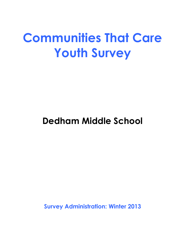# **Communities That Care Youth Survey**

## **Dedham Middle School**

**Survey Administration: Winter 2013**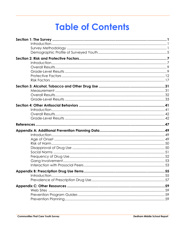# **Table of Contents**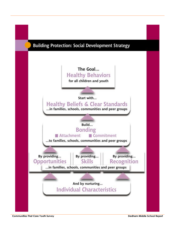

**Communities That Care Youth Survey Dedham Middle School Report**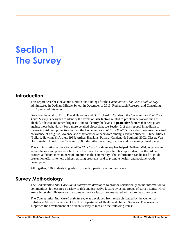## **Section 1 The Survey**

## **Introduction**

This report describes the administration and findings for the *Communities That Care Youth Survey* administered in Dedham Middle School in December of 2013. Rothenbach Research and Consulting, LLC, prepared this report.

Based on the work of Dr. J. David Hawkins and Dr. Richard F. Catalano, the *Communities That Care Youth Survey* is designed to identify the levels of **risk factors** related to problem behaviors such as alcohol, tobacco and other drug use—and to identify the levels of **protective factors** that help guard against those behaviors. (For a more detailed discussion, see Section 2 of this report.) In addition to measuring risk and protective factors, the *Communities That Care Youth Survey* also measures the actual prevalence of drug use, violence and other antisocial behaviors among surveyed students. Three articles (Pollard, Hawkins & Arthur, 1999; Arthur, Hawkins, Pollard, Catalano & Baglioni, 2002; Glaser, Van Horn, Arthur, Hawkins & Catalano, 2005) describe the survey, its uses and its ongoing development.

The administration of the *Communities That Care Youth Survey* has helped Dedham Middle School to assess the risk and protective factors in the lives of young people. This report identifies the risk and protective factors most in need of attention in the community. This information can be used to guide prevention efforts, to help address existing problems, and to promote healthy and positive youth development.

All together, 520 students in grades 6 through 8 participated in the survey.

## **Survey Methodology**

The *Communities That Care Youth Survey* was developed to provide scientifically sound information to communities. It measures a variety of risk and protective factors by using groups of survey items, which are called scales. Please note that some of the risk factors are measured with more than one scale.

The *Communities That Care Youth Survey* was developed from research funded by the Center for Substance Abuse Prevention of the U.S. Department of Health and Human Services. This research supported the development of a student survey to measure the following items: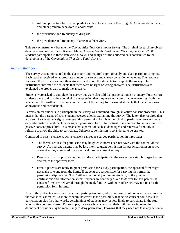- risk and protective factors that predict alcohol, tobacco and other drug (ATOD) use, delinquency and other problem behaviors in adolescents.
- the prevalence and frequency of drug use.
- the prevalence and frequency of antisocial behaviors.

This survey instrument became the *Communities That Care Youth Survey.* The original research involved data collection in five states: Kansas, Maine, Oregon, South Carolina and Washington. Over 72,000 students participated in these statewide surveys, and analysis of the collected data contributed to the development of the *Communities That Care Youth Survey*.

## *Administration*

The survey was administered in the classroom and required approximately one class period to complete. Each teacher received an appropriate number of surveys and survey collection envelopes. The teachers reviewed the instructions with their students and asked the students to complete the survey. The instructions informed the students that there were no right or wrong answers. The instructions also explained the proper way to mark the answers.

Students were asked to complete the survey but were also told that participation is voluntary. Furthermore, students were told that they could skip any question that they were not comfortable answering. Both the teacher and the written instructions on the front of the survey form assured students that the survey was anonymous and confidential.

Permission for students to participate in the survey was obtained through an active consent procedure. This means that the parents of each student received a letter explaining the survey. The letter also required that a parent of each student sign a form granting permission for his or her child to participate. Surveys were only administered to students with signed permission forms. In contrast, it is common for surveys to use a passive consent procedure. This means that a parent of each student signs and returns a form only if refusing to allow the child to participate. Otherwise, permission is considered to be granted.

Compared to passive consent, active consent can reduce survey participation in three ways:

- The formal request for permission may heighten concerns parents have with the content of the survey. As a result, parents may be less likely to grant permission for participation in an active consent survey compared to an identical passive consent survey.
- Parents with no opposition to their children participating in the survey may simply forget to sign and return the approval form.
- Even if parents are ready to grant permission for survey participation, the approval form might not make it to and from the home. If students are responsible for carrying the forms, the permission slip may get "lost," either intentionally or unintentionally, in the jumble of notifications and information sheets students are routinely asked to deliver to their parents. If consent forms are delivered through the mail, families with new addresses may not receive the permission form in time.

Any of these effects can reduce the survey participation rate, which, in turn, would reduce the precision of the statistical estimates. Of more concern, however, is the possibility that active consent could result in participation bias. In other words, certain kinds of students may be less likely to participate in the study when active consent is used. For example, parents who suspect that their children are involved in delinquent behavior may be more likely to deny permission, knowing that they need not take any action to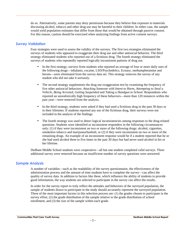do so. Alternatively, some parents may deny permission because they believe that exposure to materials discussing alcohol, tobacco and other drug use may be harmful to their children. In either case, the sample would yield population estimates that differ from those that would be obtained through passive consent. For this reason, caution should be exercised when analyzing findings from active consent surveys.

### *Survey Validation*

Four strategies were used to assess the validity of the surveys. The first two strategies eliminated the surveys of students who appeared to exaggerate their drug use and other antisocial behavior. The third strategy eliminated students who reported use of a fictitious drug. The fourth strategy eliminated the surveys of students who repeatedly reported logically inconsistent patterns of drug use.

- In the first strategy, surveys from students who reported an average of four or more daily uses of the following drugs—inhalants, cocaine, LSD/Psychedelics, Ecstasy, methamphetamine and heroin—were eliminated from the survey data set. This strategy removes the survey of any student who did not take it seriously.
- The second strategy supplements the drug use exaggeration test by examining the frequency of five other antisocial behaviors: *Attacking Someone with Intent to Harm*, *Attempting to Steal a Vehicle*, *Being Arrested*, *Getting Suspended* and *Taking a Handgun to School*. Respondents who reported an unrealistically high frequency of these behaviors—more than 120 instances within the past year—were removed from the analysis.
- In the third strategy, students were asked if they had used a fictitious drug in the past 30 days or in their lifetimes. If students reported any use of the fictitious drug, their surveys were not included in the analysis of the findings.
- The fourth strategy was used to detect logical inconsistencies among responses to the drug-related questions. Students were identified as inconsistent responders in the following circumstances only: (1) if they were inconsistent on two or more of the following drugs: alcohol, cigarettes, smokeless tobacco and marijuana/hashish; or (2) if they were inconsistent on two or more of the remaining drugs. An example of an inconsistent response would be if a student reported that he or she had used alcohol three to five times in the past 30 days but had never used alcohol in his or her lifetime.

Dedham Middle School students were cooperative—all but one student completed valid surveys. Three additional survey were removed because an insufficient number of survey questions were answered.

## *Sample Analysis*

A number of variables—such as the readability of the survey questionnaire, the effectiveness of the administration process and the amount of time students have to complete the survey—can affect the quality of survey data. In addition to factors like these, which influence the ability of students to provide good information, the way students are selected to participate in the survey can affect the results.

In order for the survey report to truly reflect the attitudes and behaviors of the surveyed population, the sample of students drawn to participate in the study should accurately represent the surveyed population. Three of the most important factors in this selection process are: (1) the grades chosen to participate in the survey effort, (2) the grade distribution of the sample relative to the grade distribution of school enrollment, and (3) the size of the sample within each grade.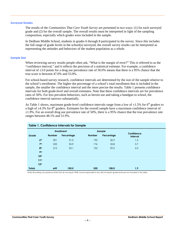#### **Surveyed Grades**

The results of the *Communities That Care Youth Survey* are presented in two ways: (1) for each surveyed grade and (2) for the overall sample. The overall results must be interpreted in light of the sampling composition, especially which grades were included in the sample.

In Dedham Middle School, students in grades 6 through 8 participated in the survey. Since this includes the full range of grade levels in the school(s) surveyed, the overall survey results can be interpreted as representing the attitudes and behaviors of the student population as a whole.

#### **Sample Size**

When reviewing survey results people often ask, "What is the margin of error?" This is referred to as the "confidence interval," and it reflects the precision of a statistical estimate. For example, a confidence interval of ±3.0 points for a drug use prevalence rate of 50.0% means that there is a 95% chance that the true score is between 47.0% and 53.0%.

For school-based survey research, confidence intervals are determined by the size of the sample relative to the school's enrollment. The higher the percentage of a school's total enrollment that is included in the sample, the smaller the confidence interval and the more precise the results. Table 1 presents confidence intervals for both grade-level and overall estimates. Note that these confidence intervals are for prevalence rates of 50%. For less prevalent behaviors, such as heroin use and taking a handgun to school, the confidence interval narrows substantially.

As Table 1 shows, maximum grade-level confidence intervals range from a low of  $\pm 1.5\%$  for 6<sup>th</sup> graders to a high of  $\pm$ 4.3% for 8<sup>th</sup> graders. Estimates for the overall sample have a maximum confidence interval of  $\pm 1.9\%$ . For an overall drug use prevalence rate of 50%, there is a 95% chance that the true prevalence rate ranges between 48.1% and 51.9%.

| <b>Table 1. Confidence Intervals for Sample</b> |                  |               |                   |               |            |                               |  |  |  |  |  |
|-------------------------------------------------|------------------|---------------|-------------------|---------------|------------|-------------------------------|--|--|--|--|--|
|                                                 |                  |               | <b>Enrollment</b> |               | Sample     |                               |  |  |  |  |  |
| Grade                                           |                  | <b>Number</b> | Percentage        | <b>Number</b> | Percentage | Confidence<br><b>Interval</b> |  |  |  |  |  |
|                                                 | 6 <sup>th</sup>  | 201           | 31.0              | 192           | 36.9       | 1.5                           |  |  |  |  |  |
|                                                 | 7 <sup>th</sup>  | 233           | 35.9              | 176           | 33.8       | 3.7                           |  |  |  |  |  |
|                                                 | 8 <sup>th</sup>  | 215           | 33.1              | 152           | 29.2       | 4.3                           |  |  |  |  |  |
|                                                 | <b>9th</b>       |               |                   |               |            |                               |  |  |  |  |  |
|                                                 | 10 <sup>th</sup> |               |                   |               |            |                               |  |  |  |  |  |
|                                                 | 11 <sup>th</sup> |               |                   |               |            |                               |  |  |  |  |  |
|                                                 | 12 <sup>th</sup> |               |                   |               |            |                               |  |  |  |  |  |
| <b>Totals</b>                                   |                  | 649           | 100.0             | 520           | 100.0      | 1.9                           |  |  |  |  |  |

Note: Rounding can produce totals that do not equal 100%. Survey respondents who did not report grade level are not included in this table.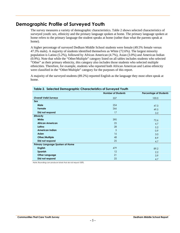## **Demographic Profile of Surveyed Youth**

The survey measures a variety of demographic characteristics. Table 2 shows selected characteristics of surveyed youth: sex, ethnicity and the primary language spoken at home. The primary language spoken at home refers to the primary language the student speaks at home (rather than what the parents speak at home).

A higher percentage of surveyed Dedham Middle School students were female (49.5% female versus 47.3% male). A majority of students identified themselves as White (72.6%). The largest minority population is Latino (5.2%), followed by African American (4.7%), Asian (3.0%) and American Indian (0.9%). Note that while the "Other/Multiple" category listed on all tables includes students who selected "Other" as their primary ethnicity, this category also includes those students who selected multiple ethnicities. Therefore, for example, students who reported both African American and Latino ethnicity were classified in the "Other/Multiple" category for the purposes of this report.

A majority of the surveyed students (89.2%) reported English as the language they most often speak at home.

|                                 | <b>Number of Students</b> | <b>Percentage of Students</b> |
|---------------------------------|---------------------------|-------------------------------|
| <b>Overall Valid Surveys</b>    | 537                       | 100.0                         |
| Sex                             |                           |                               |
| Male                            | 254                       | 47.3                          |
| Female                          | 266                       | 49.5                          |
| Did not respond                 | 17                        | 3.2                           |
| <b>Ethnicity</b>                |                           |                               |
| White                           | 390                       | 72.6                          |
| <b>African American</b>         | 25                        | 4.7                           |
| Latino                          | 28                        | 5.2                           |
| <b>American Indian</b>          | 5                         | 0.9                           |
| Asian                           | 16                        | 3.0                           |
| Other/Multiple                  | 48                        | 8.9                           |
| Did not respond                 | 25                        | 4.7                           |
| Primary Language Spoken at Home |                           |                               |
| <b>English</b>                  | 479                       | 89.2                          |
| Spanish                         | 12                        | 2.2                           |
| <b>Other Language</b>           | 21                        | 3.9                           |
| Did not respond                 | 25                        | 4.7                           |

Note: Rounding can produce totals that do not equal 100%.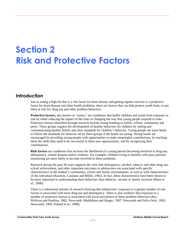# **Section 2 Risk and Protective Factors**

## **Introduction**

Just as eating a high-fat diet is a risk factor for heart disease and getting regular exercise is a protective factor for heart disease and other health problems, there are factors that can help protect youth from, or put them at risk for, drug use and other problem behaviors.

**Protective factors,** also known as "assets," are conditions that buffer children and youth from exposure to risk by either reducing the impact of the risks or changing the way that young people respond to risks. Protective factors identified through research include strong bonding to family, school, community and peers. These groups support the development of healthy behaviors for children by setting and communicating healthy beliefs and clear standards for children's behavior. Young people are more likely to follow the standards for behavior set by these groups if the bonds are strong. Strong bonds are encouraged by providing young people with opportunities to make meaningful contributions, by teaching them the skills they need to be successful in these new opportunities, and by recognizing their contributions.

**Risk factors** are conditions that increase the likelihood of a young person becoming involved in drug use, delinquency, school dropout and/or violence. For example, children living in families with poor parental monitoring are more likely to become involved in these problems.

Research during the past 30 years supports the view that delinquency; alcohol, tobacco and other drug use; school achievement; and other important outcomes in adolescence are associated with specific characteristics in the student's community, school and family environments, as well as with characteristics of the individual (Hawkins, Catalano and Miller, 1992). In fact, these characteristics have been shown to be more important in understanding these behaviors than ethnicity, income or family structure (Blum et al., 2000).

There is a substantial amount of research showing that adolescents' exposure to a greater number of risk factors is associated with more drug use and delinquency. There is also evidence that exposure to a number of protective factors is associated with lower prevalence of these problem behaviors (Bry, McKeon and Pandina, 1982; Newcomb, Maddahian and Skager, 1987; Newcomb and Felix-Ortiz, 1992; Newcomb, 1995; Pollard et al., 1999).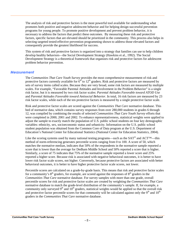The analysis of risk and protective factors is the most powerful tool available for understanding what promotes both positive and negative adolescent behavior and for helping design successful prevention programs for young people. To promote positive development and prevent problem behavior, it is necessary to address the factors that predict these outcomes. By measuring these risk and protective factors, specific factors that are elevated should be prioritized in the community. This process also helps in selecting targeted tested-effective prevention programming shown to address those elevated factors and consequently provide the greatest likelihood for success.

This system of risk and protective factors is organized into a strategy that families can use to help children develop healthy behaviors—the Social Development Strategy (Hawkins et al., 1992). The Social Development Strategy is a theoretical framework that organizes risk and protective factors for adolescent problem behavior prevention.

#### *Measurement*

The *Communities That Care Youth Survey* provides the most comprehensive measurement of risk and protective factors currently available for  $6<sup>th</sup>$  to  $12<sup>th</sup>$  graders. Risk and protective factors are measured by sets of survey items called scales. Because they are very broad, some risk factors are measured by multiple scales. For example, "Favorable Parental Attitudes and Involvement in the Problem Behavior" is a single risk factor, but it is measured by two risk factor scales: *Parental Attitudes Favorable toward ATOD Use* and *Parental Attitudes Favorable toward Antisocial Behavior*. In total, 16 risk factors are measured by 23 risk factor scales, while each of the ten protective factors is measured by a single protective factor scale.

Risk and protective factor scales are scored against the *Communities That Care* normative database. This bed of normative data, which contains survey responses from over 280,000 students in grades 6 through 12, was compiled by combining the results of selected *Communities That Care Youth Survey* efforts that were completed in 2000, 2001 and 2002. To enhance representativeness, statistical weights were applied to adjust the sample to exactly match the population of U.S. public school students on four key demographic variables: ethnicity, sex, socioeconomic status and urbanicity. Information on the U.S. public school student population was obtained from the Common Core of Data program at the U.S. Department of Education's National Center for Educational Statistics (National Center for Education Statistics, 2004).

Like the scoring systems used by many national testing programs—such as the SAT<sup>®</sup> and ACT<sup>™</sup>—this method of norm-referencing generates percentile scores ranging from 0 to 100. A score of 50, which matches the normative median, indicates that 50% of the respondents in the normative sample reported a score that is lower than the average for Dedham Middle School and 50% reported a score that is higher. Similarly, a score of 75 indicates that 75% of the normative sample reported a lower score and 25% reported a higher score. Because risk is associated with negative behavioral outcomes, it is better to have lower risk factor scale scores, not higher. Conversely, because protective factors are associated with better behavioral outcomes, it is better to have higher protective factor scale scores, not lower.

Percentile scores are calculated on a grade-by-grade basis. This means that risk and protective factor scales for a community's  $8<sup>th</sup>$  graders, for example, are scored against the responses of  $8<sup>th</sup>$  graders in the *Communities That Care* normative database. For survey samples with more than one grade, overall percentile scores for risk and protective factor scales are created by weighting the *Communities That Care* normative database to match the grade-level distribution of the community's sample. If, for example, a community only surveyed  $9<sup>th</sup>$  and  $10<sup>th</sup>$  graders, statistical weights would be applied so that the overall risk and protective factor percentile scores for that community will be calculated against only the  $9<sup>th</sup>$  and  $10<sup>th</sup>$ graders in the *Communities That Care* normative database.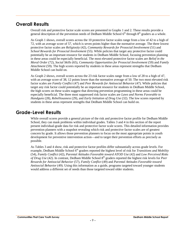## **Overall Results**

Overall risk and protective factor scale scores are presented in Graphs 1 and 2. These results provide a general description of the prevention needs of Dedham Middle School 6<sup>th</sup> through 8<sup>th</sup> graders as a whole.

As Graph 1 shows, overall scores across the 10 protective factor scales range from a low of 42 to a high of 72, with an average score of 57, which is seven points higher than the normative average. The three lowest protective factor scales are *Religiosity* (42), *Community Rewards for Prosocial Involvement* (51) and *School Rewards for Prosocial Involvement* (55). While policies that target any protective factor could potentially be an important resource for students in Dedham Middle School, focusing prevention planning in these areas could be especially beneficial. The most elevated protective factor scales are *Belief in the Moral Order* (72), *Social Skills* (65), *Community Opportunities for Prosocial Involvement* (59) and *Family Attachment* (59). The high scores reported by students in these areas represent strengths that Dedham Middle School can build on.

As Graph 2 shows, overall scores across the 23 risk factor scales range from a low of 28 to a high of 47, with an average score of 38, 12 points lower than the normative average of 50. The two most elevated risk factor scales are *Family Conflict* (47) and *Peer Rewards for Antisocial Behavior* (47). While policies that target any risk factor could potentially be an important resource for students in Dedham Middle School, the high scores on these scales suggest that directing prevention programming in these areas could be especially beneficial. The three most suppressed risk factor scales are *Laws and Norms Favorable to Handguns* (28), *Rebelliousness* (29), and *Early Initiation of Drug Use* (32). The low scores reported by students in these areas represent strengths that Dedham Middle School can build on.

## **Grade-Level Results**

While overall scores provide a general picture of the risk and protective factor profile for Dedham Middle School, they can mask problems within individual grades. Tables 3 and 4 in this section of the report present individual-grade data for risk and protective factor scale scores. This detailed information provides prevention planners with a snapshot revealing which risk and protective factor scales are of greatest concern by grade. It allows those prevention planners to focus on the most appropriate points in youth development for preventive intervention action—and to target their prevention efforts as precisely as possible.

As Tables 3 and 4 show, risk and protective factor profiles differ substantially across grade levels. For example, Dedham Middle School 6<sup>th</sup> graders reported the highest level of risk for *Transitions and Mobility* (54), *Family Conflict* (42), *Parental Attitudes Favorable toward ATOD Use* (42) and *Low Perceived Risks* of Drug Use (42). In contrast, Dedham Middle School 8<sup>th</sup> graders reported the highest risk levels for *Peer Rewards for Antisocial Behavior* (57), *Family Conflict* (49) and *Parental Attitudes Favorable toward Antisocial Behavior* (49). Using this information as a guide, programs targeted toward younger students would address a different set of needs than those targeted toward older students.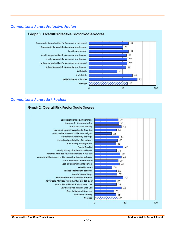## *Comparisons Across Protective Factors*



## *Comparisons Across Risk Factors*

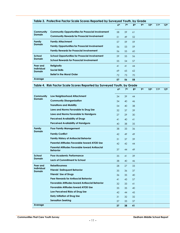|                             | Table 3. Protective Factor Scale Scores Reported by Surveyed Youth, by Grade |                 |                 |                 |                 |                  |                  |                  |
|-----------------------------|------------------------------------------------------------------------------|-----------------|-----------------|-----------------|-----------------|------------------|------------------|------------------|
|                             |                                                                              | 6 <sup>th</sup> | 7 <sup>th</sup> | 8 <sup>th</sup> | 9 <sup>th</sup> | 10 <sup>th</sup> | 11 <sup>th</sup> | 12 <sup>th</sup> |
| Community                   | <b>Community Opportunities for Prosocial Involvement</b>                     | 58              | 59              | 61              |                 |                  |                  |                  |
| <b>Domain</b>               | <b>Community Rewards for Prosocial Involvement</b>                           | 51              | 49              | 52              |                 |                  |                  |                  |
| Family                      | <b>Family Attachment</b>                                                     | 57              | 59              | 59              |                 |                  |                  |                  |
| <b>Domain</b>               | <b>Family Opportunities for Prosocial Involvement</b>                        | 56              | 53              | 59              |                 |                  |                  |                  |
|                             | <b>Family Rewards for Prosocial Involvement</b>                              | 56              | 55              | 60              |                 |                  |                  |                  |
| School                      | <b>School Opportunities for Prosocial Involvement</b>                        | 59              | 55              | 56              |                 |                  |                  |                  |
| <b>Domain</b>               | <b>School Rewards for Prosocial Involvement</b>                              | 55              | 54              | 57              |                 |                  |                  |                  |
| Peer and                    | <b>Religiosity</b>                                                           | 41              | 41              | 44              |                 |                  |                  |                  |
| Individual<br><b>Domain</b> | <b>Social Skills</b>                                                         | 69              | 65              | 62              |                 |                  |                  |                  |
|                             | <b>Belief in the Moral Order</b>                                             | 72              | 73              | 70              |                 |                  |                  |                  |
| Average                     |                                                                              | 57              | 56              | 58              |                 |                  |                  |                  |

|                                    |                                                                          | 6 <sup>th</sup> | 7 <sup>th</sup> | 8th | 9 <sub>th</sub> | 10 <sup>th</sup> | 11 <sup>th</sup> | 12 <sup>th</sup> |
|------------------------------------|--------------------------------------------------------------------------|-----------------|-----------------|-----|-----------------|------------------|------------------|------------------|
| Community                          | Low Neighborhood Attachment                                              | 34              | 39              | 44  |                 |                  |                  |                  |
| <b>Domain</b>                      | <b>Community Disorganization</b>                                         | 34              | 40              | 46  |                 |                  |                  |                  |
|                                    | <b>Transitions and Mobility</b>                                          | 54              | 40              | 38  |                 |                  |                  |                  |
|                                    | Laws and Norms Favorable to Drug Use                                     | 32              | 37              | 39  |                 |                  |                  |                  |
|                                    | Laws and Norms Favorable to Handguns                                     | 27              | 29              | 30  |                 |                  |                  |                  |
|                                    | <b>Perceived Availability of Drugs</b>                                   | 41              | 40              | 41  |                 |                  |                  |                  |
|                                    | <b>Perceived Availability of Handguns</b>                                | 40              | 38              | 35  |                 |                  |                  |                  |
| <b>Family</b>                      | <b>Poor Family Management</b>                                            | 38              | 33              | 36  |                 |                  |                  |                  |
| <b>Domain</b>                      | <b>Family Conflict</b>                                                   | 42              | 49              | 49  |                 |                  |                  |                  |
|                                    | <b>Family History of Antisocial Behavior</b>                             | 31              | 37              | 39  |                 |                  |                  |                  |
|                                    | Parental Attitudes Favorable toward ATOD Use                             | 42              | 42              | 44  |                 |                  |                  |                  |
|                                    | <b>Parental Attitudes Favorable toward Antisocial</b><br><b>Behavior</b> | 37              | 44              | 49  |                 |                  |                  |                  |
| School                             | Poor Academic Performance                                                | 35              | 41              | 39  |                 |                  |                  |                  |
| <b>Domain</b>                      | <b>Lack of Commitment to School</b>                                      | 38              | 40              | 46  |                 |                  |                  |                  |
| Peer and                           | <b>Rebelliousness</b>                                                    | 28              | 27              | 33  |                 |                  |                  |                  |
| <b>Individual</b><br><b>Domain</b> | <b>Friends' Delinquent Behavior</b>                                      | 35              | 36              | 37  |                 |                  |                  |                  |
|                                    | <b>Friends' Use of Drugs</b>                                             | 36              | 35              | 40  |                 |                  |                  |                  |
|                                    | <b>Peer Rewards for Antisocial Behavior</b>                              | 41              | 43              | 57  |                 |                  |                  |                  |
|                                    | <b>Favorable Attitudes toward Antisocial Behavior</b>                    | 32              | 33              | 41  |                 |                  |                  |                  |
|                                    | <b>Favorable Attitudes toward ATOD Use</b>                               | 35              | 35              | 40  |                 |                  |                  |                  |
|                                    | Low Perceived Risks of Drug Use                                          | 42              | 44              | 45  |                 |                  |                  |                  |
|                                    | <b>Early Initiation of Drug Use</b>                                      | 31              | 32              | 32  |                 |                  |                  |                  |
|                                    | <b>Sensation Seeking</b>                                                 | 37              | 33              | 37  |                 |                  |                  |                  |
| Average                            |                                                                          | 37              | 38              | 41  |                 |                  |                  |                  |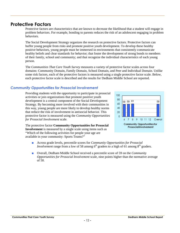## **Protective Factors**

Protective factors are characteristics that are known to decrease the likelihood that a student will engage in problem behaviors. For example, bonding to parents reduces the risk of an adolescent engaging in problem behaviors.

The Social Development Strategy organizes the research on protective factors. Protective factors can buffer young people from risks and promote positive youth development. To develop these healthy positive behaviors, young people must be immersed in environments that consistently communicate healthy beliefs and clear standards for behavior; that foster the development of strong bonds to members of their family, school and community; and that recognize the individual characteristics of each young person.

The *Communities That Care Youth Survey* measures a variety of protective factor scales across four domains: Community Domain, Family Domain, School Domain, and Peer and Individual Domain. Unlike some risk factors, each of the protective factors is measured using a single protective factor scale. Below, each protective factor scale is described and the results for Dedham Middle School are reported.

## *Community Opportunities for Prosocial Involvement*

Providing students with the opportunity to participate in prosocial 100 activities or join organizations that promote positive youth development is a central component of the Social Development Strategy. By becoming more involved with their communities in 60 this way, young people are more likely to develop healthy norms that reduce the risk of involvement in antisocial behavior. This protective factor is measured using the *Community Opportunities for Prosocial Involvement* scale.

The protective factor **Community Opportunities for Prosocial Involvement** is measured by a single scale using items such as "Which of the following activities for people your age are available in your community: Sports Teams?"

- Across grade levels, percentile scores for *Community Opportunities for Prosocial Involvement* range from a low of 58 among 6<sup>th</sup> graders to a high of 61 among 8<sup>th</sup> graders.
- Overall, Dedham Middle School received a percentile score of 59 on the *Community Opportunities for Prosocial Involvement* scale, nine points higher than the normative average of 50.

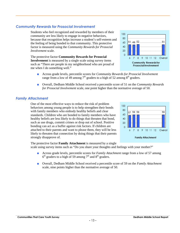#### **Communities That Care Youth Survey and Survey and Survey and Survey and Survey Associates and Dedham Middle School Report**

## *Community Rewards for Prosocial Involvement*

Students who feel recognized and rewarded by members of their community are less likely to engage in negative behaviors, because that recognition helps increase a student's self-esteem and<br>the feeling of being bonded to that community. This protective the feeling of being bonded to that community. This protective factor is measured using the *Community Rewards for Prosocial Involvement* scale.

The protective factor **Community Rewards for Prosocial Involvement** is measured by a single scale using survey items such as "There are people in my neighborhood who are proud of me when I do something well."

- Across grade levels, percentile scores for *Community Rewards for Prosocial Involvement* range from a low of 49 among  $7<sup>th</sup>$  graders to a high of 52 among  $8<sup>th</sup>$  graders.
- Overall, Dedham Middle School received a percentile score of 51 on the *Community Rewards for Prosocial Involvement* scale, one point higher than the normative average of 50.

## *Family Attachment*

One of the most effective ways to reduce the risk of problem behaviors among young people is to help strengthen their bonds with family members who embody healthy beliefs and clear standards. Children who are bonded to family members who have 60 healthy beliefs are less likely to do things that threaten that bond, such as use drugs, commit crimes or drop out of school. Positive bonding can act as a buffer against risk factors. If children are attached to their parents and want to please them, they will be less likely to threaten that connection by doing things that their parents strongly disapprove of.

57 59 59 59 40  $\Omega$ 7 8 9 10 11 12 Overall 6 **Family Attachment** 

The protective factor **Family Attachment** is measured by a single scale using survey items such as "Do you share your thoughts and feelings with your mother?"

- Across grade levels, percentile scores for *Family Attachment* range from a low of 57 among  $6<sup>th</sup>$  graders to a high of 59 among 7<sup>th</sup> and 8<sup>th</sup> graders.
- Overall, Dedham Middle School received a percentile score of 59 on the *Family Attachment* scale, nine points higher than the normative average of 50.



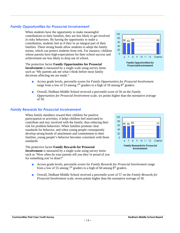**Communities That Care Youth Survey Dedham Middle School Report**

## *Family Opportunities for Prosocial Involvement*

When students have the opportunity to make meaningful contributions to their families, they are less likely to get involved in risky behaviors. By having the opportunity to make a contribution, students feel as if they're an integral part of their families. These strong bonds allow students to adopt the family norms, which can protect students from risk. For instance, children 20 whose parents have high expectations for their school success and achievement are less likely to drop out of school.

The protective factor **Family Opportunities for Prosocial Involvement** is measured by a single scale using survey items such as "My parents ask me what I think before most family decisions affecting me are made."

- Across grade levels, percentile scores for *Family Opportunities for Prosocial Involvement* range from a low of 53 among  $7<sup>th</sup>$  graders to a high of 59 among  $8<sup>th</sup>$  graders.
- Overall, Dedham Middle School received a percentile score of 56 on the *Family Opportunities for Prosocial Involvement* scale, six points higher than the normative average of 50.

100 80

> 60 40 20

56 55 60

8

 $7<sup>1</sup>$ 

Á

#### *Family Rewards for Prosocial Involvement*

When family members reward their children for positive participation in activities, it helps children feel motivated to contribute and stay involved with the family, thus reducing their risk for problem behaviors. When families promote clear standards for behavior, and when young people consequently develop strong bonds of attachment and commitment to their families, young people's behavior becomes consistent with those standards.

The protective factor **Family Rewards for Prosocial Involvement** is measured by a single scale using survey items such as "How often do your parents tell you they're proud of you for something you've done?"

- Across grade levels, percentile scores for *Family Rewards for Prosocial Involvement* range from a low of 55 among  $7<sup>th</sup>$  graders to a high of 60 among  $8<sup>th</sup>$  graders.
- Overall, Dedham Middle School received a percentile score of 57 on the *Family Rewards for Prosocial Involvement* scale, seven points higher than the normative average of 50.



9 10 11 12

**Family Rewards for Prosocial** Involvement

57

Overall

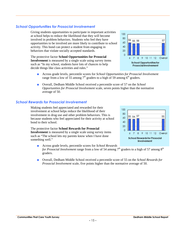#### **Communities That Care Youth Survey Dedham Middle School Report**

## *School Opportunities for Prosocial Involvement*

Giving students opportunities to participate in important activities at school helps to reduce the likelihood that they will become involved in problem behaviors. Students who feel they have opportunities to be involved are more likely to contribute to school 60<br>activity. This bond can protect a student from engaging in activity. This bond can protect a student from engaging in behaviors that violate socially accepted standards.

The protective factor **School Opportunities for Prosocial Involvement** is measured by a single scale using survey items such as "In my school, students have lots of chances to help decide things like class activities and rules."

- Across grade levels, percentile scores for *School Opportunities for Prosocial Involvement* range from a low of 55 among  $7<sup>th</sup>$  graders to a high of 59 among  $6<sup>th</sup>$  graders.
- Overall, Dedham Middle School received a percentile score of 57 on the *School Opportunities for Prosocial Involvement* scale, seven points higher than the normative average of 50.

#### *School Rewards for Prosocial Involvement*

Making students feel appreciated and rewarded for their involvement at school helps reduce the likelihood of their involvement in drug use and other problem behaviors. This is because students who feel appreciated for their activity at school bond to their school.

The protective factor **School Rewards for Prosocial Involvement** is measured by a single scale using survey items such as "The school lets my parents know when I have done something well."

■ Across grade levels, percentile scores for *School Rewards for Prosocial Involvement* range from a low of 54 among 7<sup>th</sup> graders to a high of 57 among 8<sup>th</sup> graders.

■ Overall, Dedham Middle School received a percentile score of 55 on the *School Rewards for Prosocial Involvement* scale, five points higher than the normative average of 50.



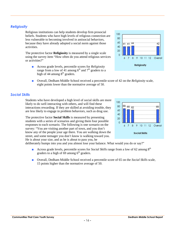## *Religiosity*

Religious institutions can help students develop firm prosocial beliefs. Students who have high levels of religious connection are less vulnerable to becoming involved in antisocial behaviors, because they have already adopted a social norm against those activities.

The protective factor **Religiosity** is measured by a single scale using the survey item "How often do you attend religious services or activities?"

- Across grade levels, percentile scores for *Religiosity* range from a low of 41 among  $6<sup>th</sup>$  and  $7<sup>th</sup>$  graders to a high of 44 among 8<sup>th</sup> graders.
- Overall, Dedham Middle School received a percentile score of 42 on the *Religiosity* scale, eight points lower than the normative average of 50.

## *Social Skills*

Students who have developed a high level of social skills are more likely to do well interacting with others, and will find these interactions rewarding. If they are skilled at avoiding trouble, they<br>are less likely to engage in problem behaviors, such as drug use are less likely to engage in problem behaviors, such as drug use.

The protective factor **Social Skills** is measured by presenting students with a series of scenarios and giving them four possible responses to each scenario. The following is one scenario on the survey: "You are visiting another part of town, and you don't know any of the people your age there. You are walking down the street, and some teenager you don't know is walking toward you. He is about your size, and as he is about to pass you, he

deliberately bumps into you and you almost lose your balance. What would you do or say?"

- Across grade levels, percentile scores for *Social Skills* range from a low of 62 among 8<sup>th</sup> graders to a high of  $\overline{69}$  among  $6<sup>th</sup>$  graders.
- Overall, Dedham Middle School received a percentile score of 65 on the *Social Skills* scale, 15 points higher than the normative average of 50.



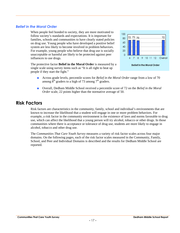## *Belief in the Moral Order*

When people feel bonded to society, they are more motivated to follow society's standards and expectations. It is important for families, schools and communities to have clearly stated policies<br>on drug use. Young people who have developed a positive belief on drug use. Young people who have developed a positive belief system are less likely to become involved in problem behaviors. For example, young people who believe that drug use is socially 20 unacceptable or harmful are likely to be protected against peer influences to use drugs.





- Across grade levels, percentile scores for *Belief in the Moral Order* range from a low of 70 among  $8<sup>th</sup>$  graders to a high of 73 among  $7<sup>th</sup>$  graders.
- Overall, Dedham Middle School received a percentile score of 72 on the *Belief in the Moral Order* scale, 22 points higher than the normative average of 50.

## **Risk Factors**

Risk factors are characteristics in the community, family, school and individual's environments that are known to increase the likelihood that a student will engage in one or more problem behaviors. For example, a risk factor in the community environment is the existence of laws and norms favorable to drug use, which can affect the likelihood that a young person will try alcohol, tobacco or other drugs. In those communities where there is acceptance or tolerance of drug use, students are more likely to engage in alcohol, tobacco and other drug use.

The *Communities That Care Youth Survey* measures a variety of risk factor scales across four major domains. On the following pages, each of the risk factor scales measured in the Community, Family, School, and Peer and Individual Domains is described and the results for Dedham Middle School are reported.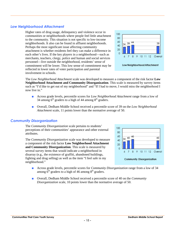## *Low Neighborhood Attachment*

Higher rates of drug usage, delinquency and violence occur in communities or neighborhoods where people feel little attachment to the community. This situation is not specific to low-income neighborhoods. It also can be found in affluent neighborhoods. Perhaps the most significant issue affecting community attachment is whether residents feel they can make a difference in each other's lives. If the key players in a neighborhood—such as merchants, teachers, clergy, police and human and social services personnel—live outside the neighborhood, residents' sense of commitment will be lower. This low sense of commitment may be reflected in lower rates of voter participation and parental involvement in schools.



The *Low Neighborhood Attachment* scale was developed to measure a component of the risk factor **Low Neighborhood Attachment and Community Disorganization**. This scale is measured by survey items such as "I'd like to get out of my neighborhood" and "If I had to move, I would miss the neighborhood I now live in."

- Across grade levels, percentile scores for *Low Neighborhood Attachment* range from a low of 34 among  $6<sup>th</sup>$  graders to a high of 44 among  $8<sup>th</sup>$  graders.
- Overall, Dedham Middle School received a percentile score of 39 on the *Low Neighborhood Attachment* scale, 11 points lower than the normative average of 50.

### *Community Disorganization*

The *Community Disorganization* scale pertains to students' perceptions of their communities' appearance and other external attributes.

The *Community Disorganization* scale was developed to measure a component of the risk factor **Low Neighborhood Attachment and Community Disorganization**. This scale is measured by several survey items that would indicate a neighborhood in disarray (e.g., the existence of graffiti, abandoned buildings, fighting and drug selling) as well as the item "I feel safe in my neighborhood."



- Across grade levels, percentile scores for *Community Disorganization* range from a low of 34 among  $6<sup>th</sup>$  graders to a high of 46 among  $8<sup>th</sup>$  graders.
- Overall, Dedham Middle School received a percentile score of 40 on the *Community Disorganization* scale, 10 points lower than the normative average of 50.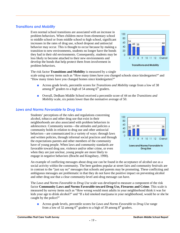## *Transitions and Mobility*

Even normal school transitions are associated with an increase in problem behaviors. When children move from elementary school to middle school or from middle school to high school, significant<br>increases in the rates of drug use, school dropout and antisocial increases in the rates of drug use, school dropout and antisocial behavior may occur. This is thought to occur because by making a 40 transition to new environments, students no longer have the bonds they had in their old environments. Consequently, students may be less likely to become attached to their new environments and develop the bonds that help protect them from involvement in problem behaviors.

#### The risk factor **Transitions and Mobility** is measured by a single

scale using survey items such as "How many times have you changed schools since kindergarten?" and "How many times have you changed homes since kindergarten?"

- Across grade levels, percentile scores for *Transitions and Mobility* range from a low of 38 among  $8<sup>th</sup>$  graders to a high of 54 among 6<sup>th</sup> graders.
- Overall, Dedham Middle School received a percentile score of 44 on the *Transitions and Mobility* scale, six points lower than the normative average of 50.

#### *Laws and Norms Favorable to Drug Use*

Students' perceptions of the rules and regulations concerning alcohol, tobacco and other drug use that exist in their neighborhoods are also associated with problem behaviors in adolescence. Community norms—the attitudes and policies a community holds in relation to drug use and other antisocial behaviors—are communicated in a variety of ways: through laws and written policies, through informal social practices and through the expectations parents and other members of the community have of young people. When laws and community standards are favorable toward drug use, violence and/or other crime, or even when they are just unclear, young people are more likely to engage in negative behaviors (Bracht and Kingsbury, 1990).

An example of conflicting messages about drug use can be found in the acceptance of alcohol use as a social activity within the community. The beer gardens popular at street fairs and community festivals are in contrast to the "just say no" messages that schools and parents may be promoting. These conflicting and ambiguous messages are problematic in that they do not have the positive impact on preventing alcohol and other drug use that a clear community-level anti-drug message can have.

The *Laws and Norms Favorable to Drug Use* scale was developed to measure a component of the risk factor **Community Laws and Norms Favorable toward Drug Use, Firearms and Crime**. This scale is measured by survey items such as "How wrong would most adults in your neighborhood think it was for kids your age to drink alcohol?" and "If a kid smoked marijuana in your neighborhood, would he or she be caught by the police?"

■ Across grade levels, percentile scores for *Laws and Norms Favorable to Drug Use* range from a low of 32 among  $6<sup>th</sup>$  graders to a high of 39 among  $8<sup>th</sup>$  graders.



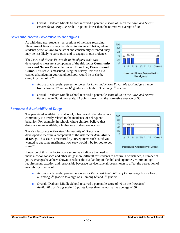**Communities That Care Youth Survey Dedham Middle School Report**

■ Overall, Dedham Middle School received a percentile score of 36 on the *Laws and Norms Favorable to Drug Use* scale, 14 points lower than the normative average of 50.

### *Laws and Norms Favorable to Handguns*

As with drug use, students' perceptions of the laws regarding illegal use of firearms may be related to violence. That is, when students perceive laws to be strict and consistently enforced, they may be less likely to carry guns and to engage in gun violence.

The *Laws and Norms Favorable to Handguns* scale was developed to measure a component of the risk factor **Community Laws and Norms Favorable toward Drug Use, Firearms and Crime**. This scale is measured using the survey item "If a kid carried a handgun in your neighborhood, would he or she be caught by the police?"

- Across grade levels, percentile scores for *Laws and Norms Favorable to Handguns* range from a low of 27 among  $6<sup>th</sup>$  graders to a high of 30 among  $8<sup>th</sup>$  graders.
- Overall, Dedham Middle School received a percentile score of 28 on the *Laws and Norms Favorable to Handguns* scale, 22 points lower than the normative average of 50.

### *Perceived Availability of Drugs*

The perceived availability of alcohol, tobacco and other drugs in a community is directly related to the incidence of delinquent behavior. For example, in schools where children believe that drugs are more available, a higher rate of drug use occurs.

The risk factor scale *Perceived Availability of Drugs* was developed to measure a component of the risk factor **Availability of Drugs**. This scale is measured by survey items such as "If you wanted to get some marijuana, how easy would it be for you to get some?"

Elevation of this risk factor scale score may indicate the need to

make alcohol, tobacco and other drugs more difficult for students to acquire. For instance, a number of policy changes have been shown to reduce the availability of alcohol and cigarettes. Minimum-age requirements, taxation and responsible beverage service have all been shown to affect the perception of availability of alcohol.

- Across grade levels, percentile scores for *Perceived Availability of Drugs* range from a low of 40 among  $7<sup>th</sup>$  graders to a high of 41 among  $6<sup>th</sup>$  and  $8<sup>th</sup>$  graders.
- Overall, Dedham Middle School received a percentile score of 40 on the *Perceived Availability of Drugs* scale, 10 points lower than the normative average of 50.



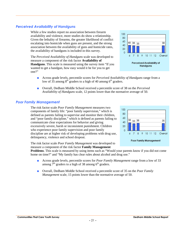## *Perceived Availability of Handguns*

While a few studies report no association between firearm availability and violence, more studies do show a relationship. Given the lethality of firearms, the greater likelihood of conflict escalating into homicide when guns are present, and the strong association between the availability of guns and homicide rates, the availability of handguns is included in this survey.

The *Perceived Availability of Handguns* scale was developed to measure a component of the risk factor **Availability of Handguns**. This scale is measured using the survey item "If you wanted to get a handgun, how easy would it be for you to get one?"



- Across grade levels, percentile scores for *Perceived Availability of Handguns* range from a low of 35 among  $8<sup>th</sup>$  graders to a high of 40 among  $6<sup>th</sup>$  graders.
- Overall, Dedham Middle School received a percentile score of 38 on the *Perceived Availability of Handguns* scale, 12 points lower than the normative average of 50.

#### *Poor Family Management*

The risk factor scale *Poor Family Management* measures two components of family life: "poor family supervision," which is defined as parents failing to supervise and monitor their children, and "poor family discipline," which is defined as parents failing to  $\frac{60}{38}$ <br>communicate clear expectations for behavior and giving communicate clear expectations for behavior and giving excessively severe, harsh or inconsistent punishment. Children who experience poor family supervision and poor family discipline are at higher risk of developing problems with drug use, delinquency, violence and school dropout.



**Poor Family Management** 

The risk factor scale *Poor Family Management* was developed to measure a component of the risk factor **Family Management**

**Problems**. This scale is measured by using items such as "Would your parents know if you did not come home on time?" and "My family has clear rules about alcohol and drug use."

- Across grade levels, percentile scores for *Poor Family Management* range from a low of 33 among  $7<sup>th</sup>$  graders to a high of 38 among 6<sup>th</sup> graders.
- Overall, Dedham Middle School received a percentile score of 35 on the *Poor Family Management* scale, 15 points lower than the normative average of 50.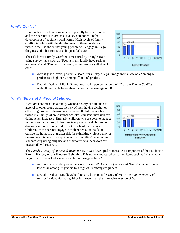## *Family Conflict*

Bonding between family members, especially between children and their parents or guardians, is a key component in the development of positive social norms. High levels of family conflict interfere with the development of these bonds, and increase the likelihood that young people will engage in illegal drug use and other forms of delinquent behavior.

The risk factor **Family Conflict** is measured by a single scale using survey items such as "People in my family have serious arguments" and "People in my family often insult or yell at each other."

- Across grade levels, percentile scores for *Family Conflict* range from a low of 42 among 6<sup>th</sup> graders to a high of 49 among  $7<sup>th</sup>$  and  $8<sup>th</sup>$  graders.
- Overall, Dedham Middle School received a percentile score of 47 on the *Family Conflict* scale, three points lower than the normative average of 50.

## *Family History of Antisocial Behavior*

If children are raised in a family where a history of addiction to alcohol or other drugs exists, the risk of their having alcohol or other drug problems themselves increases. If children are born or<br>raised in a family where criminal activity is present, their risk for raised in a family where criminal activity is present, their risk for delinquency increases. Similarly, children who are born to teenage 40 mothers are more likely to become teen parents, and children of dropouts are more likely to drop out of school themselves. Children whose parents engage in violent behavior inside or outside the home are at greater risk for exhibiting violent behavior themselves. Students' perceptions of their families' behavior and standards regarding drug use and other antisocial behaviors are measured by the survey.

The *Family History of Antisocial Behavior* scale was developed to measure a component of the risk factor **Family History of the Problem Behavior**. This scale is measured by survey items such as "Has anyone in your family ever had a severe alcohol or drug problem?"

- Across grade levels, percentile scores for *Family History of Antisocial Behavior* range from a low of 31 among  $6<sup>th</sup>$  graders to a high of 39 among  $8<sup>th</sup>$  graders.
- Overall, Dedham Middle School received a percentile score of 36 on the *Family History of Antisocial Behavior* scale, 14 points lower than the normative average of 50.



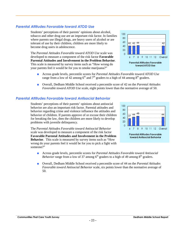## *Parental Attitudes Favorable toward ATOD Use*

Students' perceptions of their parents' opinions about alcohol, tobacco and other drug use are an important risk factor. In families where parents use illegal drugs, are heavy users of alcohol or are  $\frac{80}{60}$ tolerant of use by their children, children are more likely to become drug users in adolescence.

The *Parental Attitudes Favorable toward ATOD Use* scale was developed to measure a component of the risk factor **Favorable Parental Attitudes and Involvement in the Problem Behavior**. This scale is measured by survey items such as "How wrong do your parents feel it would be for you to smoke marijuana?"



- Across grade levels, percentile scores for *Parental Attitudes Favorable toward ATOD Use* range from a low of 42 among  $6<sup>th</sup>$  and  $7<sup>th</sup>$  graders to a high of 44 among  $8<sup>th</sup>$  graders.
- Overall, Dedham Middle School received a percentile score of 42 on the *Parental Attitudes Favorable toward ATOD Use* scale, eight points lower than the normative average of 50.

## *Parental Attitudes Favorable toward Antisocial Behavior*



Students' perceptions of their parents' opinions about antisocial behavior are also an important risk factor. Parental attitudes and behavior regarding crime and violence influence the attitudes and<br>behavior of objection. If persons approve of or excuse their objection behavior of children. If parents approve of or excuse their children <sup>60</sup><br>for breaking the law, then the children are more likely to develop for breaking the law, then the children are more likely to develop  $\frac{40}{20}$ problems with juvenile delinquency.

The *Parental Attitudes Favorable toward Antisocial Behavior* scale was developed to measure a component of the risk factor **Favorable Parental Attitudes and Involvement in the Problem** Parental Attitudes Favorable<br>Favorable Parental Attitudes and Involvement in the Problem boward Antisocial Behavior **Behavior**. This scale is measured by survey items such as "How wrong do your parents feel it would be for you to pick a fight with someone?"

- Across grade levels, percentile scores for *Parental Attitudes Favorable toward Antisocial Behavior* range from a low of 37 among  $6<sup>th</sup>$  graders to a high of 49 among  $8<sup>th</sup>$  graders.
- Overall, Dedham Middle School received a percentile score of 44 on the *Parental Attitudes Favorable toward Antisocial Behavior* scale, six points lower than the normative average of 50.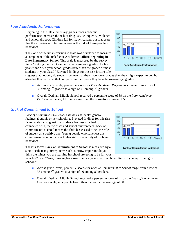## *Poor Academic Performance*

Beginning in the late elementary grades, poor academic performance increases the risk of drug use, delinquency, violence and school dropout. Children fail for many reasons, but it appears that the experience of failure increases the risk of these problem that the experience of failure increases the risk of these problem<br>behaviors behaviors.

The *Poor Academic Performance* scale was developed to measure a component of the risk factor **Academic Failure Beginning in Late Elementary School**. This scale is measured by the survey items "Putting them all together, what were your grades like last year?" and "Are your school grades better than the grades of most students in your class?" Elevated findings for this risk factor scale

suggest that not only do students believe that they have lower grades than they might expect to get, but also that they perceive that compared to their peers they have below-average grades.

- Across grade levels, percentile scores for *Poor Academic Performance* range from a low of 35 among  $6<sup>th</sup>$  graders to a high of 41 among  $7<sup>th</sup>$  graders.
- Overall, Dedham Middle School received a percentile score of 39 on the *Poor Academic Performance* scale, 11 points lower than the normative average of 50.

### *Lack of Commitment to School*

*Lack of Commitment to School* assesses a student's general Feelings about his or her schooling. Elevated findings for this risk factor scale can suggest that students feel less attached to, or connected with, their classes and school environment. Lack of connected with, their classes and school environment. Eack of<br>commitment to school means the child has ceased to see the role of student as a positive one. Young people who have lost this commitment to school are at higher risk for a variety of problem<br>  $\frac{1}{6}$  7 8 9 10 11 12 Overall behaviors.

The risk factor **Lack of Commitment to School** is measured by a single scale using survey items such as "How important do you think the things you are learning in school are going to be for your

later life?" and "Now, thinking back over the past year in school, how often did you enjoy being in school?"

- Across grade levels, percentile scores for *Lack of Commitment to School* range from a low of 38 among  $6<sup>th</sup>$  graders to a high of 46 among  $8<sup>th</sup>$  graders.
- Overall, Dedham Middle School received a percentile score of 41 on the *Lack of Commitment to School* scale, nine points lower than the normative average of 50.





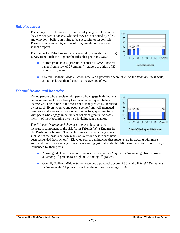## *Rebelliousness*

The survey also determines the number of young people who feel they are not part of society, who feel they are not bound by rules, and who don't believe in trying to be successful or responsible. These students are at higher risk of drug use, delinquency and<br>school dronout school dropout.

The risk factor **Rebelliousness** is measured by a single scale using survey items such as "I ignore the rules that get in my way."

- Across grade levels, percentile scores for *Rebelliousness* range from a low of  $27$  among  $7<sup>th</sup>$  graders to a high of 33 among  $8<sup>th</sup>$  graders.
- Overall, Dedham Middle School received a percentile score of 29 on the *Rebelliousness* scale, 21 points lower than the normative average of 50.

## *Friends' Delinquent Behavior*

Young people who associate with peers who engage in delinquent behavior are much more likely to engage in delinquent behavior themselves. This is one of the most consistent predictors identified<br>by research. Even when young people come from well-managed by research. Even when young people come from well-managed families and do not experience other risk factors, spending time with peers who engage in delinquent behavior greatly increases the risk of their becoming involved in delinquent behavior.

The *Friends' Delinquent Behavior* scale was developed to measure a component of the risk factor **Friends Who Engage in the Problem Behavior**. This scale is measured by survey items such as "In the past year, how many of your four best friends have

been suspended from school?" Elevated scores can indicate that students are interacting with more antisocial peers than average. Low scores can suggest that students' delinquent behavior is not strongly influenced by their peers.

- Across grade levels, percentile scores for *Friends' Delinquent Behavior* range from a low of 35 among  $6<sup>th</sup>$  graders to a high of 37 among  $8<sup>th</sup>$  graders.
- Overall, Dedham Middle School received a percentile score of 36 on the *Friends' Delinquent Behavior* scale, 14 points lower than the normative average of 50.



29

80

28 27 33

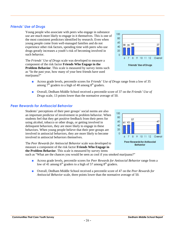## *Friends' Use of Drugs*

Young people who associate with peers who engage in substance use are much more likely to engage in it themselves. This is one of the most consistent predictors identified by research. Even when<br>young people come from well managed families and do not young people come from well-managed families and do not experience other risk factors, spending time with peers who use  $\frac{40}{2}$ drugs greatly increases a youth's risk of becoming involved in such behavior.

The *Friends' Use of Drugs* scale was developed to measure a component of the risk factor **Friends Who Engage in the Problem Behavior**. This scale is measured by survey items such as "In the past year, how many of your best friends have used marijuana?"

- Across grade levels, percentile scores for *Friends' Use of Drugs* range from a low of 35 among  $7<sup>th</sup>$  graders to a high of 40 among  $8<sup>th</sup>$  graders.
- Overall, Dedham Middle School received a percentile score of 37 on the *Friends' Use of Drugs* scale, 13 points lower than the normative average of 50.

## *Peer Rewards for Antisocial Behavior*

Students' perceptions of their peer groups' social norms are also an important predictor of involvement in problem behavior. When students feel that they get positive feedback from their peers for using alcohol, tobacco or other drugs, or getting involved in delinquent behaviors, they are more likely to engage in these behaviors. When young people believe that their peer groups are 20 involved in antisocial behaviors, they are more likely to become involved in antisocial behaviors themselves.

The *Peer Rewards for Antisocial Behavior* scale was developed to measure a component of the risk factor **Friends Who Engage in the Problem Behavior**. This scale is measured by survey items

such as "What are the chances you would be seen as cool if you smoked marijuana?"

- Across grade levels, percentile scores for *Peer Rewards for Antisocial Behavior* range from a low of 41 among  $6<sup>th</sup>$  graders to a high of 57 among  $8<sup>th</sup>$  graders.
- Overall, Dedham Middle School received a percentile score of 47 on the *Peer Rewards for Antisocial Behavior* scale, three points lower than the normative average of 50.



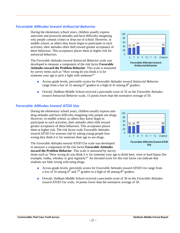## *Favorable Attitudes toward Antisocial Behavior*

During the elementary school years, children usually express Buring the clender of years, emitted usually express<br>anticrime and prosocial attitudes and have difficulty imagining why people commit crimes or drop out of school. However, in middle school, as others they know begin to participate in such<br>equivalent property assets as a second of the solution of the solution of the solution of the solution of the solution of the solution of the solution of the activities, their attitudes often shift toward greater acceptance of these behaviors. This acceptance places them at higher risk for antisocial behaviors.

The *Favorable Attitudes toward Antisocial Behavior* scale was developed to measure a component of the risk factor **Favorable Attitudes toward the Problem Behavior**. This scale is measured by survey items such as "How wrong do you think it is for someone your age to pick a fight with someone?"



- Across grade levels, percentile scores for *Favorable Attitudes toward Antisocial Behavior* range from a low of 32 among  $6<sup>th</sup>$  graders to a high of 41 among  $8<sup>th</sup>$  graders.
- Overall, Dedham Middle School received a percentile score of 35 on the *Favorable Attitudes toward Antisocial Behavior* scale, 15 points lower than the normative average of 50.

### *Favorable Attitudes toward ATOD Use*

During the elementary school years, children usually express antidrug attitudes and have difficulty imagining why people use drugs. However, in middle school, as others they know begin to participate in such activities, their attitudes often shift toward greater acceptance of these behaviors. This acceptance places them at higher risk. The risk factor scale *Favorable Attitudes toward ATOD Use* assesses risk by asking young people how wrong they think it is for someone their age to use drugs.

The *Favorable Attitudes toward ATOD Use* scale was developed to measure a component of the risk factor **Favorable Attitudes toward the Problem Behavior**. This scale is measured by survey



items such as "How wrong do you think it is for someone your age to drink beer, wine or hard liquor (for example, vodka, whiskey or gin) regularly?" An elevated score for this risk factor can indicate that students see little wrong with using drugs.

- Across grade levels, percentile scores for *Favorable Attitudes toward ATOD Use* range from a low of 35 among  $6^{th}$  and  $7^{th}$  graders to a high of 40 among  $8^{th}$  graders.
- Overall, Dedham Middle School received a percentile score of 36 on the *Favorable Attitudes toward ATOD Use* scale, 14 points lower than the normative average of 50.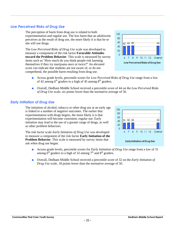## *Low Perceived Risks of Drug Use*

The perception of harm from drug use is related to both experimentation and regular use. The less harm that an adolescent perceives as the result of drug use, the more likely it is that he or she will use drugs.

The *Low Perceived Risks of Drug Use* scale was developed to measure a component of the risk factor **Favorable Attitudes toward the Problem Behavior**. This scale is measured by survey items such as "How much do you think people risk harming themselves if they try marijuana once or twice?" An elevated score can indicate that students are not aware of, or do not comprehend, the possible harm resulting from drug use.



- Across grade levels, percentile scores for *Low Perceived Risks of Drug Use* range from a low of 42 among  $6<sup>th</sup>$  graders to a high of 45 among  $8<sup>th</sup>$  graders.
- Overall, Dedham Middle School received a percentile score of 44 on the *Low Perceived Risks of Drug Use* scale, six points lower than the normative average of 50.

## *Early Initiation of Drug Use*

The initiation of alcohol, tobacco or other drug use at an early age is linked to a number of negative outcomes. The earlier that experimentation with drugs begins, the more likely it is that experimentation will become consistent, regular use. Early initiation may lead to the use of a greater range of drugs, as well as other problem behaviors.

The risk factor scale *Early Initiation of Drug Use* was developed to measure a component of the risk factor **Early Initiation of the Problem Behavior**. This scale is measured by survey items that ask when drug use began.



- Across grade levels, percentile scores for *Early Initiation of Drug Use* range from a low of 31 among  $6<sup>th</sup>$  graders to a high of 32 among  $7<sup>th</sup>$  and  $8<sup>th</sup>$  graders.
- Overall, Dedham Middle School received a percentile score of 32 on the *Early Initiation of Drug Use* scale, 18 points lower than the normative average of 50.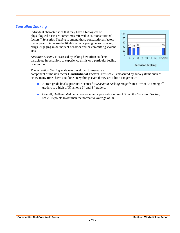### *Sensation Seeking*

Individual characteristics that may have a biological or physiological basis are sometimes referred to as "constitutional factors." *Sensation Seeking* is among those constitutional factors that appear to increase the likelihood of a young person's using that appear to increase the likelihood of a young person's using<br>drugs engaging in delinquent behavior and/or committing violent drugs, engaging in delinquent behavior and/or committing violent acts.

*Sensation Seeking* is assessed by asking how often students participate in behaviors to experience thrills or a particular feeling or emotion.

The *Sensation Seeking* scale was developed to measure a



component of the risk factor **Constitutional Factors**. This scale is measured by survey items such as "How many times have you done crazy things even if they are a little dangerous?"

- Across grade levels, percentile scores for *Sensation Seeking* range from a low of 33 among 7<sup>th</sup> graders to a high of  $37$  among  $6<sup>th</sup>$  and  $8<sup>th</sup>$  graders.
- Overall, Dedham Middle School received a percentile score of 35 on the *Sensation Seeking* scale, 15 points lower than the normative average of 50.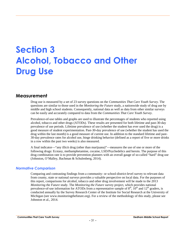# **Section 3 Alcohol, Tobacco and Other Drug Use**

## **Measurement**

Drug use is measured by a set of 23 survey questions on the *Communities That Care Youth Survey*. The questions are similar to those used in the *Monitoring the Future* study, a nationwide study of drug use by middle and high school students. Consequently, national data as well as data from other similar surveys can be easily and accurately compared to data from the *Communities That Care Youth Survey*.

Prevalence-of-use tables and graphs are used to illustrate the percentages of students who reported using alcohol, tobacco and other drugs (ATODs). These results are presented for both lifetime and past-30-day prevalence of use periods. Lifetime prevalence of use (whether the student has ever used the drug) is a good measure of student experimentation. Past-30-day prevalence of use (whether the student has used the drug within the last month) is a good measure of current use. In addition to the standard lifetime and past- 30-day prevalence rates for alcohol use, binge drinking behavior (defined as a report of five or more drinks in a row within the past two weeks) is also measured.

A final indicator—"any illicit drug (other than marijuana)"—measures the use of one or more of the following drugs: Ecstasy, methamphetamine, cocaine, LSD/Psychedelics and heroin. The purpose of this drug combination rate is to provide prevention planners with an overall gauge of so-called "hard" drug use (Johnston, O'Malley, Bachman & Schulenberg, 2014).

### *Normative Comparison*

Comparing and contrasting findings from a community- or school-district-level survey to relevant data from county, state or national surveys provides a valuable perspective on local data. For the purposes of this report, comparisons for alcohol, tobacco and other drug involvement will be made to the 2013 *Monitoring the Future* study. The *Monitoring the Future* survey project, which provides national prevalence-of-use information for ATODs from a representative sample of  $8<sup>th</sup>$ ,  $10<sup>th</sup>$  and  $12<sup>th</sup>$  graders, is conducted annually by the Survey Research Center of the Institute for Social Research at the University of Michigan (see www.monitoringthefuture.org). For a review of the methodology of this study, please see Johnston et al., 2014.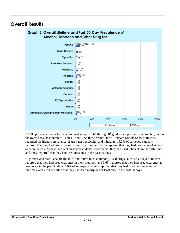## **Overall Results**



ATOD prevalence rates for the combined sample of  $6<sup>th</sup>$  through  $8<sup>th</sup>$  graders are presented in Graph 3, and in the overall results column of Tables 5 and 6. As these results show, Dedham Middle School students recorded the highest prevalence-of-use rates for alcohol and inhalants. 16.2% of surveyed students reported that they had used alcohol in their lifetimes, and 5.6% reported that they had used alcohol at least once in the past 30 days. 6.2% of surveyed students reported that they had used inhalants in their lifetimes, and 1.9% reported that they had used inhalants in the past 30 days.

Cigarettes and marijuana are the third and fourth most commonly used drugs. 4.0% of surveyed students reported that they had used cigarettes in their lifetimes, and 0.6% reported that they had used cigarettes at least once in the past 30 days. 4.0% of surveyed students reported that they had used marijuana in their lifetimes, and 2.7% reported that they had used marijuana at least once in the past 30 days.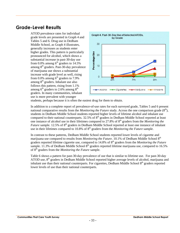## **Grade-Level Results**

ATOD prevalence rates for individual Tables 5 and 6. Drug use in Dedham Middle School, as Graph 4 illustrates, generally increases as students enter higher grades. This pattern is particularly<br>pronounced for alcohol, which shows a<br>substantial increase in past-30-day use<br>from 0.0% among  $6^{\text{th}}$  graders to 14.5%<br>among  $8^{\text{th}}$  graders. Past-30-day prevalence pronounced for alcohol, which shows a substantial increase in past-30-day use from 0.0% among  $6^{\text{th}}$  graders to 14.5% among 8th graders. Past-30-day prevalence of marijuana use shows a substantial increase with grade level as well, rising from  $0.0\%$  among  $6<sup>th</sup>$  graders to  $7.9\%$ among  $8<sup>th</sup>$  graders. Inhalant use also follows this pattern, rising from 1.1% among  $6^{th}$  graders to 2.6% among  $8^{th}$ graders. In many communities, inhalant use is more prevalent with younger



students, perhaps because it is often the easiest drug for them to obtain.

In addition to a complete report of prevalence-of-use rates for each surveyed grade, Tables 5 and 6 present national comparative results from the *Monitoring the Future* study. Across the one comparison grade  $(8<sup>th</sup>)$ , students in Dedham Middle School students reported higher levels of lifetime alcohol and inhalant use compared to their national counterparts.  $32.5\%$  of  $8<sup>th</sup>$  graders in Dedham Middle School reported at least one instance of alcohol use in their lifetimes compared to 27.8% of 8<sup>th</sup> graders from the *Monitoring the Future* sample. 12.5% of 8<sup>th</sup> graders in Dedham Middle School reported at least one instance of inhalant use in their lifetimes compared to 10.8% of 8<sup>th</sup> graders from the *Monitoring the Future* sample.

In contrast to these patterns, Dedham Middle School students reported lower levels of cigarette and marijuana use compared to results from *Monitoring the Future*. 10.1% of Dedham Middle School 8<sup>th</sup> graders reported lifetime cigarette use, compared to 14.8% of 8<sup>th</sup> graders from the *Monitoring the Future* sample. 11.3% of Dedham Middle School  $8<sup>th</sup>$  graders reported lifetime marijuana use, compared to 16.5% of 8<sup>th</sup> graders from the *Monitoring the Future* sample.

Table 6 shows a pattern for past-30-day prevalence of use that is similar to lifetime use. For past-30-day ATOD use,  $8<sup>th</sup>$  graders in Dedham Middle School reported higher average levels of alcohol, marijuana and inhalant use than their national counterparts. For cigarettes, Dedham Middle School 8<sup>th</sup> graders reported lower levels of use than their national counterparts.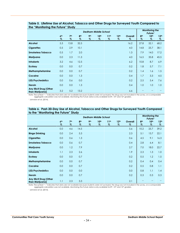|                                            |                         |                         | <b>Dedham Middle School</b> | <b>Monitoring the</b><br>Future <sup>1</sup> |                          |                          |                          |              |                         |                          |                       |
|--------------------------------------------|-------------------------|-------------------------|-----------------------------|----------------------------------------------|--------------------------|--------------------------|--------------------------|--------------|-------------------------|--------------------------|-----------------------|
|                                            | 6 <sup>th</sup><br>$\%$ | 7 <sup>th</sup><br>$\%$ | 8 <sup>th</sup><br>$\%$     | 9 <sub>th</sub><br>$\%$                      | 10 <sup>th</sup><br>$\%$ | 11 <sup>th</sup><br>$\%$ | 12 <sup>th</sup><br>$\%$ | Overall<br>% | 8 <sup>th</sup><br>$\%$ | 10 <sup>th</sup><br>$\%$ | 12 <sup>th</sup><br>% |
| <b>Alcohol</b>                             | 5.3                     | 13.8                    | 32.5                        |                                              |                          |                          |                          | 16.2         | 27.8                    | 52.1                     | 68.2                  |
| <b>Cigarettes</b>                          | 0.5                     | 2.9                     | 10.1                        |                                              |                          |                          |                          | 4.0          | 14.8                    | 25.7                     | 38.1                  |
| <b>Smokeless Tobacco</b>                   | 0.5                     | 1.7                     | 2.0                         |                                              |                          |                          |                          | 1.3          | 7.9                     | 14.0                     | 17.2                  |
| Marijuana                                  | 0.0                     | 2.3                     | 11.3                        |                                              |                          |                          |                          | 4.0          | 16.5                    | 35.8                     | 45.5                  |
| <b>Inhalants</b>                           | 3.2                     | 4.6                     | 12.5                        |                                              |                          |                          |                          | 6.2          | 10.8                    | 8.7                      | 6.9                   |
| <b>Ecstasy</b>                             | 0.0                     | 0.0                     | 0.7                         |                                              |                          |                          |                          | 0.2          | 1.8                     | 5.7                      | 7.1                   |
| Methamphetamine                            | 0.0                     | 0.0                     | 0.7                         |                                              |                          |                          |                          | 0.2          | 1.4                     | 1.6                      | 1.5                   |
| Cocaine                                    | 0.0                     | 0.0                     | 1.3                         |                                              |                          |                          |                          | 0.4          | 1.7                     | 3.3                      | 4.5                   |
| LSD/Psychedelics                           | 0.0                     | 0.6                     | 0.0                         |                                              |                          |                          |                          | 0.2          | 2.5                     | 5.4                      | 7.6                   |
| Heroin                                     | 0.0                     | 0.0                     | 1.3                         |                                              |                          |                          |                          | 0.4          | 1.0                     | 1.0                      | 1.0                   |
| Any Illicit Drug (Other<br>than Marijuana) | 3.2                     | 5.2                     | 13.2                        |                                              |                          |                          |                          | 6.6          |                         |                          |                       |

#### **Table 5. Lifetime Use of Alcohol, Tobacco and Other Drugs for Surveyed Youth Compared to the "Monitoring the Future" Study**

Note: The symbol "--" indicates that data are not available because students were not surveyed, the drug was not included in the survey, or a comparable aggregate calculation was not available. *Monitoring the Future* data is only available for 8<sup>th</sup>, 10<sup>th</sup> and 12<sup>th</sup> graders.

1 Johnston et al. (2014).

|                                            |                         | <b>Monitoring the</b><br>Future <sup>1</sup> |                      |                         |                          |                       |                       |              |                         |                          |                       |
|--------------------------------------------|-------------------------|----------------------------------------------|----------------------|-------------------------|--------------------------|-----------------------|-----------------------|--------------|-------------------------|--------------------------|-----------------------|
|                                            | 6 <sup>th</sup><br>$\%$ | 7 <sup>th</sup><br>$\%$                      | 8 <sup>th</sup><br>% | 9 <sub>th</sub><br>$\%$ | 10 <sup>th</sup><br>$\%$ | 11 <sup>th</sup><br>% | 12 <sup>th</sup><br>% | Overall<br>% | 8 <sup>th</sup><br>$\%$ | 10 <sup>th</sup><br>$\%$ | 12 <sup>th</sup><br>% |
| <b>Alcohol</b>                             | 0.0                     | 4.6                                          | 14.5                 |                         |                          |                       |                       | 5.6          | 10.2                    | 25.7                     | 39.2                  |
| <b>Binge Drinking</b>                      | 0.0                     | 2.4                                          | 5.3                  |                         |                          |                       |                       | 2.3          | 5.1                     | 13.7                     | 22.1                  |
| <b>Cigarettes</b>                          | 0.0                     | 0.6                                          | 1.3                  |                         |                          |                       |                       | 0.6          | 4.5                     | 9.1                      | 16.3                  |
| <b>Smokeless Tobacco</b>                   | 0.0                     | 0.6                                          | 0.7                  |                         |                          |                       |                       | 0.4          | 2.8                     | 6.4                      | 8.1                   |
| Marijuana                                  | 0.0                     | 1.2                                          | 7.9                  |                         |                          |                       |                       | 2.7          | 7.0                     | 18.0                     | 22.7                  |
| <b>Inhalants</b>                           | 1.1                     | 2.3                                          | 2.6                  |                         |                          |                       |                       | 1.9          | 2.3                     | 1.3                      | 1.0                   |
| <b>Ecstasy</b>                             | 0.0                     | 0.0                                          | 0.7                  |                         |                          |                       |                       | 0.2          | 0.5                     | 1.2                      | 1.5                   |
| Methamphetamine                            | 0.0                     | 0.0                                          | 0.7                  |                         |                          |                       |                       | 0.2          | 0.4                     | 0.4                      | 0.4                   |
| Cocaine                                    | 0.0                     | 0.0                                          | 0.7                  |                         |                          |                       |                       | 0.2          | 0.5                     | 0.8                      | 1.1                   |
| LSD/Psychedelics                           | 0.0                     | 0.0                                          | 0.0                  |                         |                          |                       |                       | 0.0          | 0.8                     | 1.1                      | 1.4                   |
| Heroin                                     | 0.0                     | 0.0                                          | 0.7                  |                         |                          |                       |                       | 0.2          | 0.3                     | 0.3                      | 0.3                   |
| Any Illicit Drug (Other<br>than Marijuana) | 1.1                     | 2.3                                          | 3.3                  |                         |                          |                       |                       | 2.1          |                         |                          | --                    |

#### **Table 6. Past-30-Day Use of Alcohol, Tobacco and Other Drugs for Surveyed Youth Compared to the "Monitoring the Future" Study**

Note: The symbol "--" indicates that data are not available because students were not surveyed, the drug was not included in the survey, or a comparable aggregate calculation was not available. *Monitoring the Future* data is only available for 8<sup>th</sup>, 10<sup>th</sup> and 12<sup>th</sup> graders.

1 Johnston et al. (2014).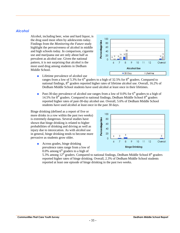#### *Alcohol*

Alcohol, including beer, wine and hard liquor, is the drug used most often by adolescents today. Findings from the *Monitoring the Future* study<br>highlight the pervasiveness of alcohol in middle<br>and high schools today. In comparison, cigarette<br>use and marijuana use are only about half as highlight the pervasiveness of alcohol in middle and high schools today. In comparison, cigarette use and marijuana use are only about half as prevalent as alcohol use. Given the national pattern, it is not surprising that alcohol is the most used drug among students in Dedham Middle School.



■ Lifetime prevalence of alcohol use

ranges from a low of 5.3% for  $6<sup>th</sup>$  graders to a high of 32.5% for  $8<sup>th</sup>$  graders. Compared to national findings, 8<sup>th</sup> graders reported higher rates of lifetime alcohol use. Overall, 16.2% of Dedham Middle School students have used alcohol at least once in their lifetimes.

**•** Past-30-day prevalence of alcohol use ranges from a low of 0.0% for  $6<sup>th</sup>$  graders to a high of 14.5% for  $8<sup>th</sup>$  graders. Compared to national findings, Dedham Middle School  $8<sup>th</sup>$  graders reported higher rates of past-30-day alcohol use. Overall, 5.6% of Dedham Middle School students have used alcohol at least once in the past 30 days.

Binge drinking (defined as a report of five or more drinks in a row within the past two weeks)<br>is extremely dangerous. Several studies have<br>shown that binge drinking is related to higher<br>probabilities of drinking and driving as well as<br>injury due to intoxication. As wi is extremely dangerous. Several studies have shown that binge drinking is related to higher probabilities of drinking and driving as well as injury due to intoxication. As with alcohol use in general, binge drinking tends to become more pervasive as students grow older.

■ Across grades, binge drinking prevalence rates range from a low of  $0.0\%$  among 6<sup>th</sup> graders to a high of



5.3% among  $12<sup>th</sup>$  graders. Compared to national findings, Dedham Middle School  $8<sup>th</sup>$  graders reported higher rates of binge drinking. Overall, 2.3% of Dedham Middle School students reported at least one episode of binge drinking in the past two weeks.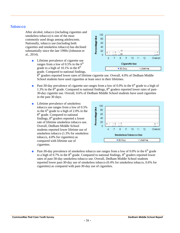### *Tobacco*

After alcohol, tobacco (including cigarettes and smokeless tobacco) is one of the most commonly used drugs among adolescents. Nationally, tobacco use (including both smokeless tobacco) is one of the most<br>commonly used drugs among adolescents.<br>Nationally, tobacco use (including both<br>cigarettes and smokeless tobacco) has declined<br>substantially since the late 1990s (Johnston et substantially since the late 1990s (Johnston et al., 2014).

■ Lifetime prevalence of cigarette use ranges from a low of  $0.5\%$  in the  $6<sup>th</sup>$ grade to a high of  $10.1\%$  in the  $8<sup>th</sup>$ grade. Compared to national findings,



 $8<sup>th</sup>$  graders reported lower rates of lifetime cigarette use. Overall, 4.0% of Dedham Middle School students have used cigarettes at least once in their lifetimes.

- **•** Past-30-day prevalence of cigarette use ranges from a low of 0.0% in the  $6<sup>th</sup>$  grade to a high of 1.3% in the  $8<sup>th</sup>$  grade. Compared to national findings,  $8<sup>th</sup>$  graders reported lower rates of past-30-day cigarette use. Overall, 0.6% of Dedham Middle School students have used cigarettes in the past 30 days.
- Lifetime prevalence of smokeless tobacco use ranges from a low of 0.5%<br>in the 6<sup>th</sup> grade to a high of 2.0% in the<br> $8^{th}$  grade. Compared to national<br>findings,  $8^{th}$  graders reported a lower<br>rate of lifetime smokeless tobacco use. in the  $6<sup>th</sup>$  grade to a high of 2.0% in the 8<sup>th</sup> grade. Compared to national findings,  $8<sup>th</sup>$  graders reported a lower rate of lifetime smokeless tobacco use. Overall, Dedham Middle School students reported lower lifetime use of smokeless tobacco (1.3% for smokeless tobacco, 4.0% for cigarettes) as compared with lifetime use of cigarettes.



**•** Past-30-day prevalence of smokeless tobacco use ranges from a low of 0.0% in the  $6<sup>th</sup>$  grade to a high of 0.7% in the  $8<sup>th</sup>$  grade. Compared to national findings,  $8<sup>th</sup>$  graders reported lower rates of past-30-day smokeless tobacco use. Overall, Dedham Middle School students reported lower past-30-day use of smokeless tobacco (0.4% for smokeless tobacco, 0.6% for cigarettes) as compared with past-30-day use of cigarettes.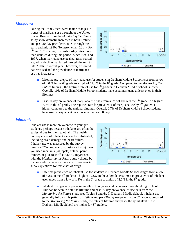## *Marijuana*

During the 1990s, there were major changes in trends of marijuana use throughout the United<br>States. Results from the *Monitoring the Future*<br>study show dramatic increases in both lifetime<br>and past-30-day prevalence rates through the<br>early and mid 1990s (Johnston et a States. Results from the *Monitoring the Future* study show dramatic increases in both lifetime and past-30-day prevalence rates through the early and mid 1990s (Johnston et al., 2014). For  $8<sup>th</sup>$  and 10<sup>th</sup> graders, the past-30-day rates more than doubled during this period. Since 1996 and 1997, when marijuana use peaked, rates started a gradual decline that lasted through the mid to late 2000s. In recent years, however, this trend has reversed and the prevalence of marijuana use has increased.



- Lifetime prevalence of marijuana use for students in Dedham Middle School rises from a low of 0.0 % in the 6<sup>th</sup> grade to a high of 11.3% in the 8<sup>th</sup> grade. Compared to the *Monitoring the Future* findings, the lifetime rate of use for 8<sup>th</sup> graders in Dedham Middle School is lower. Overall, 4.0% of Dedham Middle School students have used marijuana at least once in their lifetimes.
- **Past-30-day prevalence of marijuana use rises from a low of 0.0% in the 6<sup>th</sup> grade to a high of** 7.9% in the  $8<sup>th</sup>$  grade. The reported rate for prevalence of marijuana use by  $8<sup>th</sup>$  graders is higher compared to the national findings. Overall, 2.7% of Dedham Middle School students have used marijuana at least once in the past 30 days.

#### *Inhalants*

Inhalant use is more prevalent with younger students, perhaps because inhalants are often the<br>easiest drugs for them to obtain. The health<br>consequences of inhalant use can be substantial,<br>including brain damage and heart failure.<br>Inhalant use was measured by the sur easiest drugs for them to obtain. The health consequences of inhalant use can be substantial, including brain damage and heart failure. Inhalant use was measured by the survey question "On how many occasions (if any) have you used inhalants (whippets, butane, paint thinner, or glue to sniff, etc.)?" Comparisons with the *Monitoring the Future* study should be made carefully because there are differences in survey questions for this class of drugs.



- Lifetime prevalence of inhalant use for students in Dedham Middle School ranges from a low of 3.2% in the  $6<sup>th</sup>$  grade to a high of 12.5% in the  $8<sup>th</sup>$  grade. Past-30-day prevalence of inhalant use ranges from a low of 1.1% in the  $6<sup>th</sup>$  grade to a high of 2.6% in the  $8<sup>th</sup>$  grade.
- Inhalant use typically peaks in middle school years and decreases throughout high school. This can be seen in both the lifetime and past-30-day prevalence-of-use data from the *Monitoring the Future* study (see Tables 5 and 6). In Dedham Middle School, inhalant use generally follows this pattern. Lifetime and past-30-day use peaks in the  $8<sup>th</sup>$  grade. Compared to the *Monitoring the Future* study, the rates of lifetime and past-30-day inhalant use in Dedham Middle School are higher for 8<sup>th</sup> graders.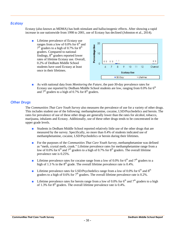## *Ecstasy*

Ecstasy (also known as MDMA) has both stimulant and hallucinogenic effects. After showing a rapid increase in use nationwide from 1998 to 2001, use of Ecstasy has declined (Johnston et al., 2014).

■ Lifetime prevalence of Ecstasy use ranges from a low of 0.0% for 6<sup>th</sup> and<br>  $7^{\text{th}}$  graders to a high of 0.7% for 8<sup>th</sup><br>
graders. Compared to national<br>
findings, 8<sup>th</sup> graders reported lower<br>
rates of lifetime Ecstasy use. Overall,<br>
a 10<br>
a 10<br>
a 20% of  $7<sup>th</sup>$  graders to a high of 0.7% for  $8<sup>th</sup>$ graders. Compared to national  $findings$ ,  $8<sup>th</sup> graders reported lower$ rates of lifetime Ecstasy use. Overall, 0.2% of Dedham Middle School students have used Ecstasy at least once in their lifetimes.



■ As with national data from *Monitoring the Future*, the past-30-day prevalence rates for Ecstasy use reported by Dedham Middle School students are low, ranging from  $0.0\%$  for  $6<sup>th</sup>$ and  $7<sup>th</sup>$  graders to a high of 0.7% for  $8<sup>th</sup>$  graders.

## *Other Drugs*

The *Communities That Care Youth Survey* also measures the prevalence of use for a variety of other drugs. This includes student use of the following: methamphetamine, cocaine, LSD/Psychedelics and heroin. The rates for prevalence of use of these other drugs are generally lower than the rates for alcohol, tobacco, marijuana, inhalants and Ecstasy. Additionally, use of these other drugs tends to be concentrated in the upper grade levels.

- Students in Dedham Middle School reported relatively little use of the other drugs that are measured by the survey. Specifically, no more than 0.4% of students indicated use of methamphetamine, cocaine, LSD/Psychedelics or heroin during their lifetimes.
- For the purposes of the *Communities That Care Youth Survey*, methamphetamine was defined as "meth, crystal meth, crank." Lifetime prevalence rates for methamphetamine range from a low of 0.0% for  $6<sup>th</sup>$  and  $7<sup>th</sup>$  graders to a high of 0.7% for  $8<sup>th</sup>$  graders. The overall lifetime prevalence rate is 0.25%.
- **■** Lifetime prevalence rates for cocaine range from a low of 0.0% for  $6<sup>th</sup>$  and  $7<sup>th</sup>$  graders to a high of 1.3 % in the  $8<sup>th</sup>$  grade. The overall lifetime prevalence rate is 0.4%.
- **■** Lifetime prevalence rates for LSD/Psychedelics range from a low of 0.0% for  $6<sup>th</sup>$  and  $8<sup>th</sup>$ graders to a high of 0.6% for  $7<sup>th</sup>$  graders. The overall lifetime prevalence rate is 0.2%.
- **■** Lifetime prevalence rates for heroin range from a low of 0.0% for  $6<sup>th</sup>$  and  $7<sup>th</sup>$  graders to a high of 1.3% for  $8<sup>th</sup>$  graders. The overall lifetime prevalence rate is 0.4%.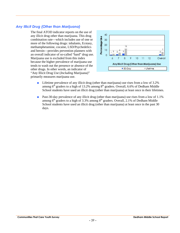## *Any Illicit Drug (Other than Marijuana)*

The final ATOD indicator reports on the use of any illicit drug other than marijuana. This drug<br>combination rate—which includes use of one or<br>more of the following drugs: inhalants, Ecstasy,<br>methamphetamine, cocaine, LSD/Psychedelics<br>and heroin—provides prevention plan combination rate—which includes use of one or more of the following drugs: inhalants, Ecstasy, methamphetamine, cocaine, LSD/Psychedelics and heroin—provides prevention planners with an overall indicator of so-called "hard" drug use. Marijuana use is excluded from this index because the higher prevalence of marijuana use tends to wash out the presence or absence of the other drugs. In other words, an indicator of "Any Illicit Drug Use (*Including* Marijuana)" primarily measures marijuana use.



- Lifetime prevalence of any illicit drug (other than marijuana) use rises from a low of 3.2% among  $6^{th}$  graders to a high of 13.2% among  $8^{th}$  graders. Overall, 6.6% of Dedham Middle School students have used an illicit drug (other than marijuana) at least once in their lifetimes.
- Past-30-day prevalence of any illicit drug (other than marijuana) use rises from a low of 1.1% among  $6<sup>th</sup>$  graders to a high of 3.3% among  $8<sup>th</sup>$  graders. Overall, 2.1% of Dedham Middle School students have used an illicit drug (other than marijuana) at least once in the past 30 days.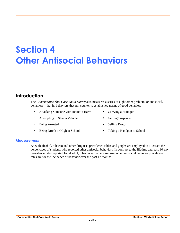## **Section 4 Other Antisocial Behaviors**

## **Introduction**

The *Communities That Care Youth Survey* also measures a series of eight other problem, or antisocial, behaviors—that is, behaviors that run counter to established norms of good behavior.

- Attacking Someone with Intent to Harm Carrying a Handgun
- Attempting to Steal a Vehicle Getting Suspended
- Being Arrested Selling Drugs
- Being Drunk or High at School Taking a Handgun to School
- 
- 
- -

#### *Measurement*

As with alcohol, tobacco and other drug use, prevalence tables and graphs are employed to illustrate the percentages of students who reported other antisocial behaviors. In contrast to the lifetime and past-30-day prevalence rates reported for alcohol, tobacco and other drug use, other antisocial behavior prevalence rates are for the incidence of behavior over the past 12 months.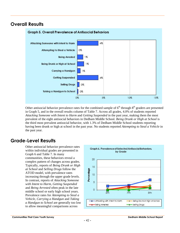## **Overall Results**



Other antisocial behavior prevalence rates for the combined sample of  $6<sup>th</sup>$  through  $8<sup>th</sup>$  graders are presented in Graph 5, and in the overall results column of Table 7. Across all grades, 4.0% of students reported *Attacking Someone with Intent to Harm* and *Getting Suspended* in the past year, making them the most prevalent of the eight antisocial behaviors in Dedham Middle School. *Being Drunk or High at School* is the third most prevalent antisocial behavior, with 1.3% of Dedham Middle School students reporting having been drunk or high at school in the past year. No students reported *Attempting to Steal a Vehicle* in the past year.

## **Grade-Level Results**

Other antisocial behavior prevalence rates Graph 6 and Table 7. In many communities, these behaviors reveal a complex pattern of changes across grades. Typically, reports of *Being Drunk or High at School* and *Selling Drugs* follow the ATOD model, with prevalence rates increasing through the upper grade levels. at *School* and *Selling Drugs* follow the<br>ATOD model, with prevalence rates<br>increasing through the upper grade levels.<br>In contrast, reports of *Attacking Someone with Intent to Harm*, *Getting Suspended* and *Being Arrested* often peak in the late middle school or early high school years. Prevalence rates for *Attempting to Steal a Vehicle*, *Carrying a Handgun* and *Taking a Handgun to School* are generally too low<br> **A** *a Handgun to School* are generally too low to allow meaningful comparisons across

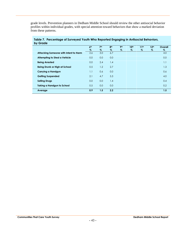grade levels. Prevention planners in Dedham Middle School should review the other antisocial behavior profiles within individual grades, with special attention toward behaviors that show a marked deviation from these patterns.

| 7 <sup>th</sup><br>8 <sup>th</sup><br>9 <sup>th</sup><br>6 <sup>th</sup><br>10 <sup>th</sup><br>11 <sup>th</sup><br>12 <sup>th</sup><br>Overall<br>$\%$<br>$\%$<br>$\%$<br>$\%$<br>$\%$<br>%<br>$\%$<br>$\%$<br>3.0<br>2.6<br>6.7<br>4.0<br>Attacking Someone with Intent to Harm<br>0.0<br>0.0<br>0.0<br><b>Attempting to Steal a Vehicle</b><br>0.0<br>2.4<br>1.1<br>0.0<br><b>Being Arrested</b><br>1.4<br>0.5<br>2.7<br><b>Being Drunk or High at School</b><br>1.2<br>1.3<br>0.6<br>0.0<br>Carrying a Handgun<br>1.1<br>0.6<br><b>Getting Suspended</b><br>2.1<br>4.7<br>5.3<br>4.0<br>0.0<br>0.0<br><b>Selling Drugs</b><br>1.4<br>0.4<br>0.5<br>0.0<br>0.0<br><b>Taking a Handgun to School</b><br>0.2<br>1.5<br>2.2<br>0.9<br>1.5<br>Average | ------- |  |  |  |  |
|------------------------------------------------------------------------------------------------------------------------------------------------------------------------------------------------------------------------------------------------------------------------------------------------------------------------------------------------------------------------------------------------------------------------------------------------------------------------------------------------------------------------------------------------------------------------------------------------------------------------------------------------------------------------------------------------------------------------------------------------------|---------|--|--|--|--|
|                                                                                                                                                                                                                                                                                                                                                                                                                                                                                                                                                                                                                                                                                                                                                      |         |  |  |  |  |
|                                                                                                                                                                                                                                                                                                                                                                                                                                                                                                                                                                                                                                                                                                                                                      |         |  |  |  |  |
|                                                                                                                                                                                                                                                                                                                                                                                                                                                                                                                                                                                                                                                                                                                                                      |         |  |  |  |  |
|                                                                                                                                                                                                                                                                                                                                                                                                                                                                                                                                                                                                                                                                                                                                                      |         |  |  |  |  |
|                                                                                                                                                                                                                                                                                                                                                                                                                                                                                                                                                                                                                                                                                                                                                      |         |  |  |  |  |
|                                                                                                                                                                                                                                                                                                                                                                                                                                                                                                                                                                                                                                                                                                                                                      |         |  |  |  |  |
|                                                                                                                                                                                                                                                                                                                                                                                                                                                                                                                                                                                                                                                                                                                                                      |         |  |  |  |  |
|                                                                                                                                                                                                                                                                                                                                                                                                                                                                                                                                                                                                                                                                                                                                                      |         |  |  |  |  |
|                                                                                                                                                                                                                                                                                                                                                                                                                                                                                                                                                                                                                                                                                                                                                      |         |  |  |  |  |
|                                                                                                                                                                                                                                                                                                                                                                                                                                                                                                                                                                                                                                                                                                                                                      |         |  |  |  |  |
|                                                                                                                                                                                                                                                                                                                                                                                                                                                                                                                                                                                                                                                                                                                                                      |         |  |  |  |  |

#### **Table 7. Percentage of Surveyed Youth Who Reported Engaging in Antisocial Behaviors, by Grade**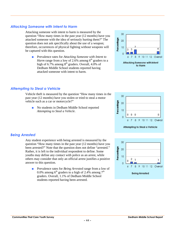#### **Communities That Care Youth Survey Dedham Middle School Report**

## *Attacking Someone with Intent to Harm*

Attacking someone with intent to harm is measured by the question "How many times in the past year (12 months) have you<br>attacked someone with the idea of seriously hurting them?" The<br>question does not ask specifically about the use of a weapon;<br>therefore, occurrences of physical attacked someone with the idea of seriously hurting them?" The question does not ask specifically about the use of a weapon; therefore, occurrences of physical fighting without weapons will be captured with this question.

■ Prevalence rates for *Attacking Someone with Intent to Harm* range from a low of 2.6% among  $6<sup>th</sup>$  graders to a high of 6.7% among  $8<sup>th</sup>$  graders. Overall, 4.0% of Dedham Middle School students reported having attacked someone with intent to harm.



Vehicle theft is measured by the question "How many times in the past year (12 months) have you stolen or tried to steal a motor vehicle such as a car or motorcycle?"

■ No students in Dedham Middle School reported *Attempting to Steal a Vehicle*.



Any student experience with being arrested is measured by the question "How many times in the past year (12 months) have you been arrested?" Note that the question does not define "arrested."<br>
Rather, it is left to the individual respondent to define. Some<br>
youths may define any contact with police as an arrest, while<br>
others may consider that o Rather, it is left to the individual respondent to define. Some youths may define any contact with police as an arrest, while others may consider that only an official arrest justifies a positive answer to this question.

■ Prevalence rates for *Being Arrested* range from a low of 0.0% among 6<sup>th</sup> graders to a high of 2.4% among 7<sup>th</sup> graders. Overall, 1.1% of Dedham Middle School students reported having been arrested.



Attempting to Steal a Vehicle

**Percentage** 

20

10

 $\mathbf{0}$  $\theta$ 

 $\overline{7}$ 8 9

 $\theta$  $\overline{0}$ 

6

 $\mathbf{0}$ 

10 11 12 Overall

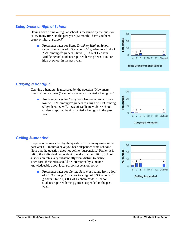## *Being Drunk or High at School*

Having been drunk or high at school is measured by the question "How many times in the past year (12 months) have you been drunk or high at school?"

■ Prevalence rates for *Being Drunk or High at School* high at school?"<br>Prevalence rates for *Being Drunk or High at School*<br>range from a low of 0.5% among 6<sup>th</sup> graders to a high of 2.7% among  $8<sup>th</sup>$  graders. Overall, 1.3% of Dedham Middle School students reported having been drunk or high at school in the past year.



**Being Drunk or Highat School** 

## *Carrying a Handgun*

Carrying a handgun is measured by the question "How many times in the past year (12 months) have you carried a handgun?"

■ Prevalence rates for *Carrying a Handgun* range from a<br>low of 0.0 % among 8<sup>th</sup> graders to a high of 1.1% among<br>6<sup>th</sup> graders. Overall, 0.6% of Dedham Middle School low of 0.0 % among  $8<sup>th</sup>$  graders to a high of 1.1% among 6 th graders. Overall, 0.6% of Dedham Middle School students reported having carried a handgun in the past year.



## *Getting Suspended*

Suspension is measured by the question "How many times in the past year (12 months) have you been suspended from school?" Note that the question does not define "suspension." Rather, it is<br>left to the individual respondent to make that definition. School<br>suspension rates vary substantially from district to district.<br>Therefore, these rates sho left to the individual respondent to make that definition. School suspension rates vary substantially from district to district. Therefore, these rates should be interpreted by someone knowledgeable about local school suspension policy.

■ Prevalence rates for *Getting Suspended* range from a low of 2.1 % among  $6<sup>th</sup>$  graders to a high of 5.3% among  $8<sup>th</sup>$ graders. Overall, 4.0% of Dedham Middle School students reported having gotten suspended in the past year.

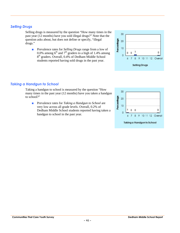## *Selling Drugs*

*Taking a Handgun to School*

to school?"

Selling drugs is measured by the question "How many times in the 30 past year (12 months) have you sold illegal drugs?" Note that the question asks about, but does not define or specify, "illegal drugs."

■ Prevalence rates for *Selling Drugs* range from a low of 0.0% among  $6<sup>th</sup>$  and  $7<sup>th</sup>$  graders to a high of 1.4% among 8 th graders. Overall, 0.4% of Dedham Middle School students reported having sold drugs in the past year.

handgun to school in the past year.



#### Taking a handgun to school is measured by the question "How 30 many times in the past year (12 months) have you taken a handgun Prevalence rates for *Taking a Handgun to School* are<br>very low across all grade levels. Overall, 0.2% of<br>Dedham Middle School students reported having taken a 20 ■ Prevalence rates for *Taking a Handgun to School* are 10 very low across all grade levels. Overall, 0.2% of 0  $\pmb{0}$  $\overline{0}$  $\mathbf{8}$  $\overline{9}$ 6  $\overline{7}$ 10 11 12 Overall

#### Taking a Handgun to School

 $\pmb{0}$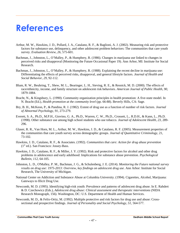## **References**

- Arthur, M. W., Hawkins, J. D., Pollard, J. A., Catalano, R. F., & Baglioni, A. J. (2002). Measuring risk and protective factors for substance use, delinquency, and other adolescent problem behaviors: The communities that care youth survey. *Evaluation Review, 26*, 575-601.
- Bachman, J., Johnston, L., O'Malley, P., & Humphrey, R. (1986). Changes in marijuana use linked to changes in perceived risks and disapproval (Monitoring the Future Occasional Paper 19). Ann Arbor, MI: Institute for Social Research.
- Bachman, J., Johnston, L., O'Malley, P., & Humphrey, R. (1988). Explaining the recent decline in marijuana use: Differentiating the effects of perceived risks, disapproval, and general lifestyle factors. *Journal of Health and Social Behavior, 29*, 92-112.
- Blum, R. W., Beuhring, T., Shew, M. L., Bearinger, L. H., Sieving, R. E., & Resnick, M. D. (2000). The effects of race/ethnicity, income, and family structure on adolescent risk behaviors. *American Journal of Public Health, 90,* 1879-1884.
- Bracht, N., & Kingsbury, L. (1990). Community organization principles in health promotion: A five-state model. In N. Bracht (Ed.), *Health promotion at the community level* (pp. 66-88). Beverly Hills, CA: Sage.
- Bry, B. H., McKeon, P., & Pandina, R. J. (1982). Extent of drug use as a function of number of risk factors. *Journal of Abnormal Psychology, 91,* 273-279.
- Everett, S. A., Ph.D., M.P.H., Giovino, G. A., Ph.D., Warren, C. W., Ph.D., Crossett, L., R.D.H., & Kann, L., Ph.D. (1998). Other substance use among high school students who use tobacco. *Journal of Adolescent Health, 23*, 289- 296.
- Glaser, R. R., Van Horn, M. L., Arthur, M. W., Hawkins, J. D., & Catalano, R. F. (2005). Measurement properties of the communities that care youth survey across demographic groups. *Journal of Quantitative Criminology*, 21, 73-102.
- Hawkins, J. D., Catalano, R. F., & Associates. (1992). *Communities that care: Action for drug abuse prevention*  $(1<sup>st</sup> ed.)$ . San Francisco: Jossey-Bass.
- Hawkins, J. D., Catalano, R. F., & Miller, J. Y. (1992). Risk and protective factors for alcohol and other drug problems in adolescence and early adulthood: Implications for substance abuse prevention. *Psychological Bulletin, 112,* 64-105.
- Johnston, L. D., O'Malley, P. M., Bachman, J. G., & Schulenberg, J. E. (2014). *Monitoring the Future national survey results on drug use: 1975-2013: Overview, key findings on adolescent drug use*. Ann Arbor: Institute for Social Research, The University of Michigan.
- National Center on Addiction and Substance Abuse at Columbia University. (1994). Cigarettes, Alcohol, Marijuana: Gateways to Illicit Drug Use.
- Newcomb, M. D. (1995). Identifying high-risk youth: Prevalence and patterns of adolescent drug abuse. In E. Rahdert & D. Czechowicz (Eds.), *Adolescent drug abuse: Clinical assessment and therapeutic interventions* (NIDA Research Monograph, 156). Washington, DC: U.S. Department of Health and Human Services.
- Newcomb, M. D., & Felix-Ortiz, M. (1992). Multiple protective and risk factors for drug use and abuse: Cross sectional and prospective findings. *Journal of Personality and Social Psychology, 51,* 564-577.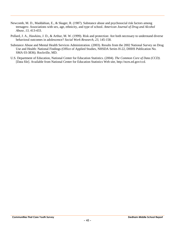- Newcomb, M. D., Maddahian, E., & Skager, R. (1987). Substance abuse and psychosocial risk factors among teenagers: Associations with sex, age, ethnicity, and type of school. *American Journal of Drug and Alcohol Abuse, 13,* 413-433.
- Pollard, J. A., Hawkins, J. D., & Arthur, M. W. (1999). Risk and protection: Are both necessary to understand diverse behavioral outcomes in adolescence? *Social Work Research, 23,* 145-158.
- Substance Abuse and Mental Health Services Administration. (2003). Results from the 2002 National Survey on Drug Use and Health: National Findings (Office of Applied Studies, NHSDA Series H-22, DHHS Publication No. SMA 03-3836). Rockville, MD.
- U.S. Department of Education, National Center for Education Statistics. (2004). *The Common Core of Data (CCD)*. [Data file]. Available from National Center for Education Statistics Web site, http://nces.ed.gov/ccd.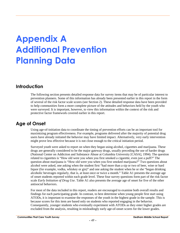# **Appendix A Additional Prevention Planning Data**

## **Introduction**

The following section presents detailed response data for survey items that may be of particular interest to prevention planners. Some of this information has already been presented earlier in this report in the form of several of the risk factor scale scores (see Section 2). These detailed response data have been provided to help communities form a more complete picture of the attitudes and behaviors held by the youth who were surveyed. It is important, however, to view this information within the context of the risk and protective factor framework covered earlier in this report.

## **Age of Onset**

Using age-of-initiation data to coordinate the timing of prevention efforts can be an important tool for maximizing program effectiveness. For example, programs delivered after the majority of potential drug users have already initiated the behavior may have limited impact. Alternatively, very early intervention might prove less effective because it is not close enough to the critical initiation period.

Surveyed youth were asked to report on when they began using alcohol, cigarettes and marijuana. These drugs are generally considered to be the major gateway drugs, usually preceding the use of harder drugs (National Center on Addiction and Substance Abuse at Columbia University [CASA], 1994). The question related to cigarettes is "How old were you when you first smoked a cigarette, even just a puff?" The question about marijuana is "How old were you when you first smoked marijuana?" Two questions about alcohol were asked, one asking when the student first "had more than a sip or two of beer, wine or hard liquor (for example, vodka, whiskey or gin)" and one asking the student when he or she "began drinking alcoholic beverages regularly, that is, at least once or twice a month." Table A1 presents the average age of onset students reported within each grade level. These four survey questions form part of the risk factor scale *Early Initiation of Drug Use*. Table A1 also presents the average age of onset for five of the other antisocial behaviors.

For most of the data included in this report, readers are encouraged to examine both overall results and findings for each participating grade. In contrast, to best determine when young people first start using ATODs, it is important to examine the responses of the youth in the highest grade in the sample. This is because scores for this item are based only on students who reported engaging in the behavior. Consequently, younger students who eventually experiment with ATODs as they enter higher grades are excluded from the analysis, resulting in misleadingly early age-of-onset scores for the lower grades.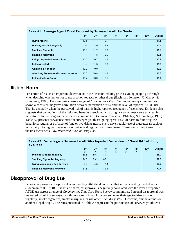|                                       | 6 <sup>th</sup>                                     | 7 <sup>th</sup> | 8 <sup>th</sup> | 9 <sub>th</sub> | 10 <sup>th</sup> | 11 <sup>th</sup> | 12 <sup>th</sup> | Overall |
|---------------------------------------|-----------------------------------------------------|-----------------|-----------------|-----------------|------------------|------------------|------------------|---------|
| <b>Trying Alcohol</b>                 | 10.5                                                | 11.1            | 12.1            |                 |                  |                  |                  | 11.5    |
| <b>Drinking Alcohol Regularly</b>     | $\hspace{0.05cm} -\hspace{0.05cm} -\hspace{0.05cm}$ | 12.0            | 12.9            |                 |                  |                  |                  | 12.7    |
| <b>Smoking Cigarettes</b>             | 10.3                                                | 11.2            | 12.3            |                 |                  |                  |                  | 11.6    |
| <b>Smoking Marijuana</b>              | $\overline{\phantom{a}}$                            | 11.8            | 12.6            |                 |                  |                  |                  | 12.5    |
| <b>Being Suspended from School</b>    | 10.2                                                | 10.7            | 11.5            |                 |                  |                  |                  | 10.8    |
| <b>Being Arrested</b>                 | $\overline{\phantom{a}}$                            | 11.3            | 12.0            |                 |                  |                  |                  | 11.6    |
| Carrying a Handgun                    | 10.3                                                | 10.0            | $- -$           |                 |                  |                  |                  | 10.3    |
| Attacking Someone with Intent to Harm | 10.2                                                | 10.8            | 11.8            |                 |                  |                  |                  | 11.2    |
| <b>Belonging to a Gang</b>            | 10.7                                                | 10.0            | 12.6            |                 |                  |                  |                  | 11.9    |

## **Table A1. Average Age of Onset Reported by Surveyed Youth, by Grade**

## **Risk of Harm**

Perception of risk is an important determinant in the decision-making process young people go through when deciding whether or not to use alcohol, tobacco or other drugs (Bachman, Johnston, O'Malley, & Humphrey, 1988). Data analysis across a range of *Communities That Care Youth Survey* communities shows a consistent negative correlation between perception of risk and the level of reported ATOD use. That is, generally when the perceived risk of harm is high, reported frequency of use is low. Evidence also suggests that perceptions of the risks and benefits associated with drug use sometimes serve as a leading indicator of future drug use patterns in a community (Bachman, Johnston, O'Malley, & Humphrey, 1986). Table A2 presents prevalence rates for surveyed youth assigning "great risk" of harm to four drug use behaviors: regular use of alcohol (one or two drinks nearly every day), regular use of cigarettes (a pack or more daily), trying marijuana once or twice, and regular use of marijuana. These four survey items form the risk factor scale *Low Perceived Risks of Drug Use*.

| 6 <sup>th</sup> | 7 <sup>th</sup> | 8 <sup>th</sup> | 9 <sub>th</sub> | 10th | 11 <sup>th</sup> | 12 <sup>th</sup> | Overall |
|-----------------|-----------------|-----------------|-----------------|------|------------------|------------------|---------|
| $\%$            | $\%$            | $\%$            | $\%$            | $\%$ | %                | $\%$             | $\%$    |
| 59.8            | 59.6            | 61.1            |                 |      |                  |                  | 59.7    |
| 76.0            | 73.2            | 85.1            |                 |      |                  |                  | 77.0    |
| 38.6            | 34.3            | 17.4            |                 |      |                  |                  | 30.9    |
| 81.8            | 71.3            | 62.4            |                 |      |                  |                  | 72.4    |
|                 |                 |                 |                 |      |                  |                  |         |

| Table A2. Percentage of Surveyed Youth Who Reported Perception of "Great Risk" of Harm, |  |
|-----------------------------------------------------------------------------------------|--|
| by Grade                                                                                |  |

## **Disapproval of Drug Use**

Personal approval or disapproval is another key attitudinal construct that influences drug use behavior (Bachman et al., 1988). Like risk of harm, disapproval is negatively correlated with the level of reported ATOD use across a range of *Communities That Care Youth Survey* communities. Personal disapproval was measured by asking surveyed youth how wrong it would be for someone their age to drink alcohol regularly, smoke cigarettes, smoke marijuana, or use other illicit drugs ("LSD, cocaine, amphetamines or another illegal drug"). The rates presented in Table A3 represent the percentages of surveyed youth who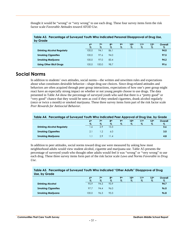thought it would be "wrong" or "very wrong" to use each drug. These four survey items form the risk factor scale *Favorable Attitudes toward ATOD Use*.

| by Grade                          |                 |                 |                 |            |                  |                  |                  |         |
|-----------------------------------|-----------------|-----------------|-----------------|------------|------------------|------------------|------------------|---------|
|                                   | 6 <sup>th</sup> | 7 <sup>th</sup> | 8 <sup>th</sup> | <b>9th</b> | 10 <sup>th</sup> | 11 <sup>th</sup> | 12 <sup>th</sup> | Overall |
|                                   | $\%$            | $\%$            | $\%$            | $\%$       | $\%$             | $\%$             | $\%$             | $\%$    |
| <b>Drinking Alcohol Regularly</b> | 100.0           | 94.1            | 86.1            |            |                  |                  |                  | 94.0    |
| <b>Smoking Cigarettes</b>         | 100.0           | 97.6            | 94.0            |            |                  |                  |                  | 97.5    |
| <b>Smoking Marijuana</b>          | 100.0           | 97.0            | 83.4            |            |                  |                  |                  | 94.2    |
| <b>Using Other Illicit Drugs</b>  | 100.0           | 100.0           | 98.7            |            |                  |                  |                  | 99.6    |

**Table A3. Percentage of Surveyed Youth Who Indicated Personal Disapproval of Drug Use,**

## **Social Norms**

In addition to students' own attitudes, social norms—the written and unwritten rules and expectations about what constitutes desirable behavior—shape drug use choices. Since drug-related attitudes and behaviors are often acquired through peer group interactions, expectations of how one's peer group might react have an especially strong impact on whether or not young people choose to use drugs. The data presented in Table A4 show the percentage of surveyed youth who said that there is a "pretty good" or "very good" chance that they would be seen as cool if they smoked cigarettes, drank alcohol regularly (once or twice a month) or smoked marijuana. These three survey items form part of the risk factor scale *Peer Rewards for Antisocial Behavior*.

| Table A4. Percentage of Surveyed Youth Who Indicated Peer Approval of Drug Use, by Grade |                 |            |                 |                 |                  |                  |                  |         |  |  |
|------------------------------------------------------------------------------------------|-----------------|------------|-----------------|-----------------|------------------|------------------|------------------|---------|--|--|
|                                                                                          | 6 <sup>th</sup> | 7th        | 8 <sup>th</sup> | 9 <sub>th</sub> | 10 <sup>th</sup> | 11 <sup>th</sup> | 12 <sup>th</sup> | Overall |  |  |
|                                                                                          | $\%$            | $\%$       | $\%$            | $\%$            | $\%$             | $\%$             | $\%$             | $\%$    |  |  |
| <b>Drinking Alcohol Regularly</b>                                                        | .6 <sub>1</sub> | 2.9        | 13.3            |                 |                  |                  |                  | 5.6     |  |  |
| <b>Smoking Cigarettes</b>                                                                | 2.1             | $\cdot$ .2 | 6.0             |                 |                  |                  |                  | 3.0     |  |  |
| <b>Smoking Marijuana</b>                                                                 | M               | 2.9        | 11.4            |                 |                  |                  |                  | 4.8     |  |  |

In addition to peer attitudes, social norms toward drug use were measured by asking how most neighborhood adults would view student alcohol, cigarette and marijuana use. Table A5 presents the percentage of surveyed youth who thought other adults would feel it was "wrong" or "very wrong" to use each drug. These three survey items form part of the risk factor scale *Laws and Norms Favorable to Drug Use*.

| Table A5. Percentage of Surveyed Youth Who Indicated "Other Adults" Disapprove of Drug<br>Use, by Grade |                         |                         |                         |                    |                          |                          |                          |                 |  |
|---------------------------------------------------------------------------------------------------------|-------------------------|-------------------------|-------------------------|--------------------|--------------------------|--------------------------|--------------------------|-----------------|--|
|                                                                                                         | 6 <sup>th</sup><br>$\%$ | 7 <sup>th</sup><br>$\%$ | 8 <sup>th</sup><br>$\%$ | <b>Qth</b><br>$\%$ | 10 <sup>th</sup><br>$\%$ | 11 <sup>th</sup><br>$\%$ | 12 <sup>th</sup><br>$\%$ | Overall<br>$\%$ |  |
| <b>Drinking Alcohol</b>                                                                                 | 95.9                    | 94.3                    | 93.9                    |                    |                          |                          |                          | 94.7            |  |
| <b>Smoking Cigarettes</b>                                                                               | 97.7                    | 94.4                    | 96.0                    |                    |                          |                          |                          | 96.0            |  |
| <b>Smoking Marijuana</b>                                                                                | 100.0                   | 96.3                    | 93.3                    |                    |                          |                          |                          | 96.8            |  |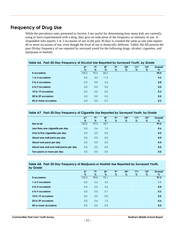## **Frequency of Drug Use**

While the prevalence rates presented in Section 3 are useful for determining how many kids are currently using or have experimented with a drug, they give no indication of the frequency or intensity of use. A respondent who reports 1 or 2 occasions of use in the past 30 days is counted the same as one who reports 40 or more occasions of use, even though the level of use is drastically different. Tables A6-A8 present the past-30-day frequency of use reported by surveyed youth for the following drugs: alcohol, cigarettes, and marijuana or hashish.

| Table A6. Past-30-Day Frequency of Alcohol Use Reported by Surveyed Youth, by Grade |                         |                      |                      |                      |                          |                       |                          |                  |  |  |
|-------------------------------------------------------------------------------------|-------------------------|----------------------|----------------------|----------------------|--------------------------|-----------------------|--------------------------|------------------|--|--|
|                                                                                     | 6 <sup>th</sup><br>$\%$ | 7 <sup>th</sup><br>% | 8 <sup>th</sup><br>% | 9 <sub>th</sub><br>% | 10 <sup>th</sup><br>$\%$ | 11 <sup>th</sup><br>% | 12 <sup>th</sup><br>$\%$ | Overall<br>$\%$  |  |  |
| 0 occasions                                                                         | 100.0                   | 95.4                 | 85.5                 |                      |                          |                       |                          | 94.4             |  |  |
| 1 or 2 occasions                                                                    | 0.0                     | 4.0                  | 11.2                 |                      |                          |                       |                          | 4.5              |  |  |
| 3 to 5 occasions                                                                    | 0.0                     | 0.0                  | 2.6                  |                      |                          |                       |                          | 0.8              |  |  |
| 6 to 9 occasions                                                                    | 0.0                     | 0.0                  | 0.0                  |                      |                          |                       |                          | 0.0              |  |  |
| 10 to 19 occasions                                                                  | 0.0                     | 0.6                  | 0.0                  |                      |                          |                       |                          | 0.2 <sub>0</sub> |  |  |
| 20 to 39 occasions                                                                  | 0.0                     | 0.0                  | 0.0                  |                      |                          |                       |                          | 0.0              |  |  |
| 40 or more occasions                                                                | 0.0                     | 0.0                  | 0.7                  |                      |                          |                       |                          | 0.2 <sub>0</sub> |  |  |

#### **Table A7. Past-30-Day Frequency of Cigarette Use Reported by Surveyed Youth, by Grade**

|                                      | 6 <sup>th</sup> | 7 <sup>th</sup> | 8 <sup>th</sup> | <b>9th</b> | 10 <sup>th</sup> | 11 <sup>th</sup> | 12 <sup>th</sup> | Overall |
|--------------------------------------|-----------------|-----------------|-----------------|------------|------------------|------------------|------------------|---------|
|                                      | $\%$            | $\%$            | $\%$            | $\%$       | $\%$             | $\%$             | $\%$             | $\%$    |
| Not at all                           | 100.0           | 99.4            | 98.7            |            |                  |                  |                  | 99.4    |
| Less than one cigarette per day      | 0.0             | 0.6             | 1.3             |            |                  |                  |                  | 0.6     |
| One to five cigarettes per day       | 0.0             | 0.0             | 0.0             |            |                  |                  |                  | 0.0     |
| About one-half pack per day          | 0.0             | 0.0             | 0.0             |            |                  |                  |                  | 0.0     |
| About one pack per day               | 0.0             | 0.0             | 0.0             |            |                  |                  |                  | 0.0     |
| About one and one-half packs per day | 0.0             | 0.0             | 0.0             |            |                  |                  |                  | 0.0     |
| Two packs or more per day            | 0.0             | 0.0             | 0.0             |            |                  |                  |                  | 0.0     |

#### **Table A8. Past-30-Day Frequency of Marijuana or Hashish Use Reported by Surveyed Youth, by Grade**

|                      | 6 <sup>th</sup><br>$\%$ | 7 <sup>th</sup><br>$\%$ | 8 <sup>th</sup><br>$\%$ | 9 <sub>th</sub><br>$\%$ | 10 <sup>th</sup><br>$\%$ | 11 <sup>th</sup><br>$\%$ | 12 <sup>th</sup><br>$\%$ | Overall<br>$\%$ |
|----------------------|-------------------------|-------------------------|-------------------------|-------------------------|--------------------------|--------------------------|--------------------------|-----------------|
| 0 occasions          | 100.0                   | 98.8                    | 92.1                    |                         |                          |                          |                          | 97.3            |
| or 2 occasions       | 0.0                     | 0.6                     | 3.3                     |                         |                          |                          |                          | 1.1             |
| 3 to 5 occasions     | 0.0                     | 0.0                     | 2.6                     |                         |                          |                          |                          | 0.8             |
| 6 to 9 occasions     | 0.0                     | 0.0                     | 0.7                     |                         |                          |                          |                          | 0.2             |
| 10 to 19 occasions   | 0.0                     | 0.0                     | 0.0                     |                         |                          |                          |                          | 0.0             |
| 20 to 39 occasions   | 0.0                     | 0.6                     | 1.3                     |                         |                          |                          |                          | 0.6             |
| 40 or more occasions | 0.0                     | 0.0                     | 0.0                     |                         |                          |                          |                          | 0.0             |
|                      |                         |                         |                         |                         |                          |                          |                          |                 |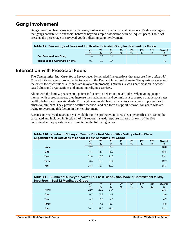## **Gang Involvement**

Gangs have long been associated with crime, violence and other antisocial behaviors. Evidence suggests that gangs contribute to antisocial behavior beyond simple association with delinquent peers. Table A9 presents the percentage of surveyed youth indicating gang involvement.

| Table A9. Percentage of Surveyed Youth Who Indicated Gang Involvement, by Grade                               |      |      |     |      |      |      |      |      |  |  |
|---------------------------------------------------------------------------------------------------------------|------|------|-----|------|------|------|------|------|--|--|
| 7 <sup>th</sup><br><b>Qth</b><br>12 <sup>th</sup><br>10th<br>6 <sup>th</sup><br><b>Ath</b><br>11th<br>Overall |      |      |     |      |      |      |      |      |  |  |
|                                                                                                               | $\%$ | $\%$ | %   | $\%$ | $\%$ | $\%$ | $\%$ | $\%$ |  |  |
| Ever Belonged to a Gang                                                                                       |      | 0.6  | 6.0 |      |      |      |      | 2.7  |  |  |
| Belonged to a Gang with a Name                                                                                | 0.5  | 0.6  | 3.4 |      |      |      |      | 1.6  |  |  |

## **Interaction with Prosocial Peers**

The *Communities That Care Youth Survey* recently included five questions that measure *Interaction with Prosocial Peers*, a new protective factor scale in the Peer and Individual domain. The questions ask about the extent to which students' friends are involved in prosocial activities, such as participation in school based clubs and organizations and attending religious services.

Along with the family, peers exert a potent influence on behavior and attitudes. When young people interact with prosocial peers, they increase their attachment and commitment to a group that demonstrates healthy beliefs and clear standards. Prosocial peers model healthy behaviors and create opportunities for others to join them. They provide positive feedback and can form a support network for youth who are trying to overcome risk factors in their environment.

Because normative data are not yet available for this protective factor scale, a percentile score cannot be calculated and included in Section 2 of this report. Instead, response patterns for each of the five constituent survey questions are presented in the following tables.

| <u>twwie trier treiliger er eer regeen teellig feer peer filelige trier falliege woed with the stead</u><br>Organizations or Activities at School in Past 12 Months, by Grade |                         |                    |                         |                         |                       |                          |                          |              |  |  |
|-------------------------------------------------------------------------------------------------------------------------------------------------------------------------------|-------------------------|--------------------|-------------------------|-------------------------|-----------------------|--------------------------|--------------------------|--------------|--|--|
|                                                                                                                                                                               | 6 <sup>th</sup><br>$\%$ | <b>7th</b><br>$\%$ | 8 <sup>th</sup><br>$\%$ | 9 <sub>th</sub><br>$\%$ | 10 <sup>th</sup><br>% | 11 <sup>th</sup><br>$\%$ | 12 <sup>th</sup><br>$\%$ | Overall<br>% |  |  |
| <b>None</b>                                                                                                                                                                   | 12.2                    | 10.2               | 16.8                    |                         |                       |                          |                          | 13.0         |  |  |
| <b>One</b>                                                                                                                                                                    | 13.6                    | 15.1               | 18.2                    |                         |                       |                          |                          | 15.5         |  |  |
| <b>Two</b>                                                                                                                                                                    | 21.8                    | 23.5               | 24.5                    |                         |                       |                          |                          | 23.1         |  |  |
| <b>Three</b>                                                                                                                                                                  | 13.6                    | 15.1               | 8.4                     |                         |                       |                          |                          | 12.7         |  |  |
| Four                                                                                                                                                                          | 38.8                    | 36.1               | 32.2                    |                         |                       |                          |                          | 35.7         |  |  |
|                                                                                                                                                                               |                         |                    |                         |                         |                       |                          |                          |              |  |  |

## **Table A10. Number of Surveyed Youth's Four Best Friends Who Participated in Clubs,**

#### **Table A11. Number of Surveyed Youth's Four Best Friends Who Made a Commitment to Stay Drug-Free in Past 12 Months, by Grade**

| . .<br>. .   |                 |                 |                 |                 |                  |                  |                  |         |
|--------------|-----------------|-----------------|-----------------|-----------------|------------------|------------------|------------------|---------|
|              | 6 <sup>th</sup> | 7 <sup>th</sup> | 8 <sup>th</sup> | 9 <sub>th</sub> | 10 <sup>th</sup> | 11 <sup>th</sup> | 12 <sup>th</sup> | Overall |
|              | $\%$            | $\%$            | $\%$            | $\%$            | $\%$             | $\%$             | $\%$             | $\%$    |
| <b>None</b>  | 22.0            | 22.6            | 27.4            |                 |                  |                  |                  | 23.6    |
| One          | 0.7             | 3.8             | 6.7             |                 |                  |                  |                  | 3.8     |
| <b>Two</b>   | 5.7             | 6.3             | 9.6             |                 |                  |                  |                  | 6.9     |
| <b>Three</b> | 1.4             | 7.5             | 8.9             |                 |                  |                  |                  | 5.8     |
| Four         | 70.2            | 59.7            | 47.4            |                 |                  |                  |                  | 59.9    |
|              |                 |                 |                 |                 |                  |                  |                  |         |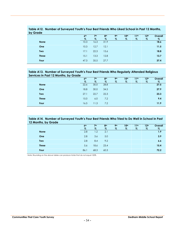| by Grade     |                 |                 |                 |                 |                  |                  |                  |         |
|--------------|-----------------|-----------------|-----------------|-----------------|------------------|------------------|------------------|---------|
|              | 6 <sup>th</sup> | 7 <sup>th</sup> | 8 <sup>th</sup> | 9 <sup>th</sup> | 10 <sup>th</sup> | 11 <sup>th</sup> | 12 <sup>th</sup> | Overall |
|              | $\%$            | %               | %               | $\%$            | %                | $\%$             | $\%$             | $\%$    |
| <b>None</b>  | 10.3            | 16.3            | 31.9            |                 |                  |                  |                  | 18.6    |
| One          | 10.3            | 12.7            | 12.1            |                 |                  |                  |                  | 11.5    |
| <b>Two</b>   | 17.1            | 22.3            | 15.6            |                 |                  |                  |                  | 18.8    |
| <b>Three</b> | 15.1            | 13.3            | 12.8            |                 |                  |                  |                  | 13.7    |
| Four         | 47.3            | 35.5            | 27.7            |                 |                  |                  |                  | 37.4    |

**Table A12. Number of Surveyed Youth's Four Best Friends Who Liked School in Past 12 Months, by Grade**

#### **Table A13. Number of Surveyed Youth's Four Best Friends Who Regularly Attended Religious Services in Past 12 Months, by Grade**

| _____<br>$\sim$ $\sim$ $\sim$ |                 |                 |                 |                 |                  |                  |                  |         |
|-------------------------------|-----------------|-----------------|-----------------|-----------------|------------------|------------------|------------------|---------|
|                               | 6 <sup>th</sup> | 7 <sup>th</sup> | 8 <sup>th</sup> | 9 <sup>th</sup> | 10 <sup>th</sup> | 11 <sup>th</sup> | 12 <sup>th</sup> | Overall |
|                               | $\%$            | $\%$            | $\%$            | $\%$            | %                | $\%$             | %                | $\%$    |
| <b>None</b>                   | 22.6            | 30.0            | 28.8            |                 |                  |                  |                  | 27.5    |
| One                           | 18.8            | 30.0            | 34.5            |                 |                  |                  |                  | 27.9    |
| <b>Two</b>                    | 27.1            | 22.7            | 22.3            |                 |                  |                  |                  | 23.3    |
| <b>Three</b>                  | 15.0            | 6.0             | 7.2             |                 |                  |                  |                  | 9.4     |
| Four                          | 16.5            | 11.3            | 7.2             |                 |                  |                  |                  | 11.9    |
|                               |                 |                 |                 |                 |                  |                  |                  |         |

#### **Table A14. Number of Surveyed Youth's Four Best Friends Who Tried to Do Well in School in Past 12 Months, by Grade**

|              | 6 <sup>th</sup> | 7 <sup>th</sup> | 8 <sup>th</sup> | 9 <sup>th</sup> | 10 <sup>th</sup> | 11 <sup>th</sup> | 12 <sup>th</sup> | Overall |
|--------------|-----------------|-----------------|-----------------|-----------------|------------------|------------------|------------------|---------|
|              | $\%$            | $\%$            | $\%$            | $\%$            | $\%$             | $\%$             | $\%$             | $\%$    |
| <b>None</b>  | 2.8             | 1.2             | 2.1             |                 |                  |                  |                  | 1.9     |
| One          | 2.8             | 3.6             | 5.0             |                 |                  |                  |                  | 3.9     |
| <b>Two</b>   | 2.8             | 8.4             | 9.2             |                 |                  |                  |                  | 6.6     |
| <b>Three</b> | 5.6             | 18.6            | 23.4            |                 |                  |                  |                  | 15.4    |
| Four         | 86.1            | 68.3            | 60.3            |                 |                  |                  |                  | 72.2    |
|              |                 |                 |                 |                 |                  |                  |                  |         |

Note: Rounding on the above tables can produce totals that do not equal 100%.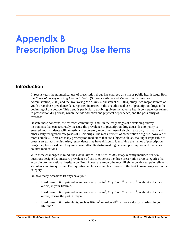# **Appendix B Prescription Drug Use Items**

## **Introduction**

In recent years the nonmedical use of prescription drugs has emerged as a major public health issue. Both the *National Survey on Drug Use and Health* (Substance Abuse and Mental Health Services Administration, 2003) and the *Monitoring the Future* (Johnston et al., 2014) study, two major sources of youth drug abuse prevalence data, reported increases in the unauthorized use of prescription drugs at the beginning of the decade. This trend is particularly troubling given the adverse health consequences related to prescription drug abuse, which include addiction and physical dependence, and the possibility of overdose.

Despite these concerns, the research community is still in the early stages of developing survey instruments that can accurately measure the prevalence of prescription drug abuse. If anonymity is ensured, most students will honestly and accurately report their use of alcohol, tobacco, marijuana and other easily recognized categories of illicit drugs. The measurement of prescription drug use, however, is more complex. There are many prescription medicines that are subject to abuse, making it impossible to present an exhaustive list. Also, respondents may have difficulty identifying the names of prescription drugs they have used, and they may have difficulty distinguishing between prescription and over-the counter medications.

With these challenges in mind, the *Communities That Care Youth Survey* recently included six new questions designed to measure prevalence-of-use rates across the three prescription drug categories that, according to the National Institute on Drug Abuse, are among the most likely to be abused: pain relievers, stimulants and tranquilizers. Each question includes examples of some of the best known drugs within that category.

On how many occasions (if any) have you:

- Used prescription pain relievers, such as Vicodin<sup>®</sup>, OxyContin<sup>®</sup> or Tylox<sup>®</sup>, without a doctor's orders, in your lifetime?
- Used prescription pain relievers, such as Vicodin<sup>®</sup>, OxyContin<sup>®</sup> or Tylox<sup>®</sup>, without a doctor's orders, during the past 30 days?
- Used prescription stimulants, such as Ritalin<sup>®</sup> or Adderall<sup>®</sup>, without a doctor's orders, in your lifetime?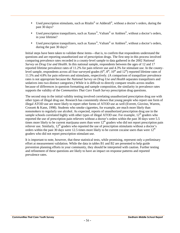- Used prescription stimulants, such as Ritalin<sup>®</sup> or Adderall<sup>®</sup>, without a doctor's orders, during the past 30 days?
- Used prescription tranquilizers, such as  $\text{Xanax}^{\circ}$ ,  $\text{Valium}^{\circ}$  or Ambien $^{\circ}$ , without a doctor's orders, in your lifetime?
- Used prescription tranquilizers, such as  $\text{Xanax}^{\circ}$ ,  $\text{Valium}^{\circ}$  or Ambien $^{\circ}$ , without a doctor's orders, during the past 30 days?

Initial steps have been taken to validate these items—that is, to confirm that respondents understand the questions and are reporting unauthorized use of prescription drugs. The first step in this process involved comparing prevalence rates recorded in a county-level sample to data gathered in the 2002 *National Survey on Drug Use and Health*. In this national sample, respondents between the ages of 12 and 17 reported lifetime prevalence rates of 11.2% for pain reliever use and 4.3% for stimulant use. In the countylevel sample, respondents across all four surveyed grades  $(6<sup>th</sup>, 8<sup>th</sup>, 10<sup>th</sup>$  and  $12<sup>th</sup>$ ) reported lifetime rates of 11.5% and 4.8% for pain relievers and stimulants, respectively. (A comparison of tranquilizer prevalence rates is not appropriate because the *National Survey on Drug Use and Health* separates tranquilizers and sedatives into two distinct categories.) While it is difficult to directly compare results across studies because of differences in question formatting and sample composition, the similarity in prevalence rates supports the validity of the *Communities That Care Youth Survey* prescription drug questions.

The second step in the initial validity testing involved correlating unauthorized prescription drug use with other types of illegal drug use. Research has consistently shown that young people who report one form of illegal ATOD use are more likely to report other forms of ATOD use as well (Everett, Giovino, Warren, Crossett & Kann, 1998). Students who smoke cigarettes, for example, are much more likely than nonsmokers to regularly use alcohol. As expected, reports of unauthorized prescription drug use in the sample schools correlated highly with other types of illegal ATOD use. For example,  $12<sup>th</sup>$  graders who reported the use of prescription pain relievers without a doctor's orders within the past 30 days were 5.5 times more likely to be current marijuana users than were  $12<sup>th</sup>$  graders who did not report prescription pain reliever use. Similarly, 12<sup>th</sup> graders who reported the use of prescription stimulants without a doctor's orders within the past 30 days were 12.5 times more likely to be current cocaine users than were  $12<sup>th</sup>$ graders who did not report prescription stimulant use.

It is important to note, however, that these statistical tests, while promising, represent only a preliminary effort at measurement validation. While the data in tables B1 and B2 are presented to help guide prevention planning efforts in your community, they should be interpreted with caution. Further testing and refinement of these questions are likely to have an impact on response patterns and reported prevalence rates.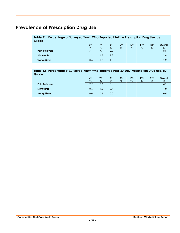## **Prevalence of Prescription Drug Use**

#### **Table B1. Percentage of Surveyed Youth Who Reported Lifetime Prescription Drug Use, by Grade**

|                       | 6 <sup>th</sup><br>$\%$ | 7 <sup>th</sup><br>$\%$ | 8 <sup>th</sup><br>$\%$ | <b>9th</b><br>$\%$ | 10 <sup>th</sup><br>$\%$ | 11th<br>$\%$ | 12 <sup>th</sup><br>$\%$ | Overall<br>$\%$ |
|-----------------------|-------------------------|-------------------------|-------------------------|--------------------|--------------------------|--------------|--------------------------|-----------------|
| <b>Pain Relievers</b> | 7.1                     |                         | 12.0                    |                    |                          |              |                          | 8.5             |
| <b>Stimulants</b>     | 1.1                     | 8. ا                    | 1.3                     |                    |                          |              |                          | 1.6             |
| <b>Tranquilizers</b>  | 0.6                     | $\Omega$                | 1.3                     |                    |                          |              |                          | 1.2             |

#### **Table B2. Percentage of Surveyed Youth Who Reported Past-30-Day Prescription Drug Use, by Grade**

|                       | 6 <sup>th</sup><br>$\%$ | 7 <sup>th</sup><br>$\%$ | 8 <sup>th</sup><br>$\%$ | <b>9th</b><br>$\%$ | 10 <sup>th</sup><br>$\%$ | 11 <sup>th</sup><br>$\%$ | 12 <sup>th</sup><br>$\%$ | Overall<br>$\%$ |
|-----------------------|-------------------------|-------------------------|-------------------------|--------------------|--------------------------|--------------------------|--------------------------|-----------------|
| <b>Pain Relievers</b> | 2.7                     | 3.6                     | 6.0                     |                    |                          |                          |                          | 4.1             |
| <b>Stimulants</b>     | 0.6                     | $\overline{2}$          | 0.7                     |                    |                          |                          |                          | 1.0             |
| <b>Tranquilizers</b>  | 0.0                     | 0.6                     | 0.0                     |                    |                          |                          |                          | 0.4             |